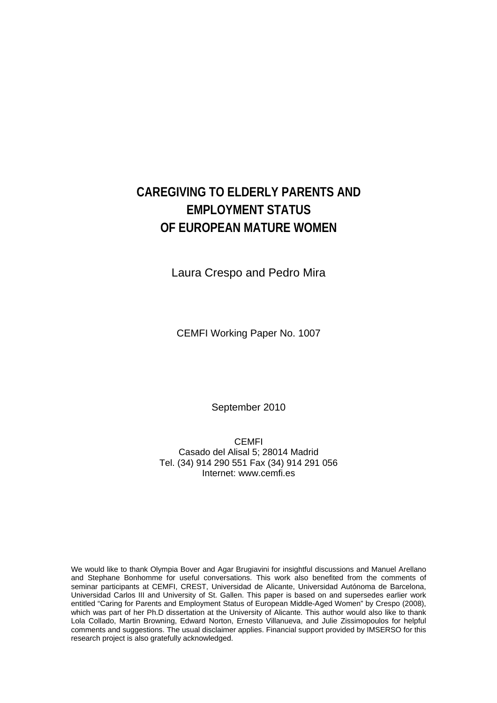# **CAREGIVING TO ELDERLY PARENTS AND EMPLOYMENT STATUS OF EUROPEAN MATURE WOMEN**

Laura Crespo and Pedro Mira

CEMFI Working Paper No. 1007

September 2010

CEMFI Casado del Alisal 5; 28014 Madrid Tel. (34) 914 290 551 Fax (34) 914 291 056 Internet: www.cemfi.es

We would like to thank Olympia Bover and Agar Brugiavini for insightful discussions and Manuel Arellano and Stephane Bonhomme for useful conversations. This work also benefited from the comments of seminar participants at CEMFI, CREST, Universidad de Alicante, Universidad Autónoma de Barcelona, Universidad Carlos III and University of St. Gallen. This paper is based on and supersedes earlier work entitled "Caring for Parents and Employment Status of European Middle-Aged Women" by Crespo (2008), which was part of her Ph.D dissertation at the University of Alicante. This author would also like to thank Lola Collado, Martin Browning, Edward Norton, Ernesto Villanueva, and Julie Zissimopoulos for helpful comments and suggestions. The usual disclaimer applies. Financial support provided by IMSERSO for this research project is also gratefully acknowledged.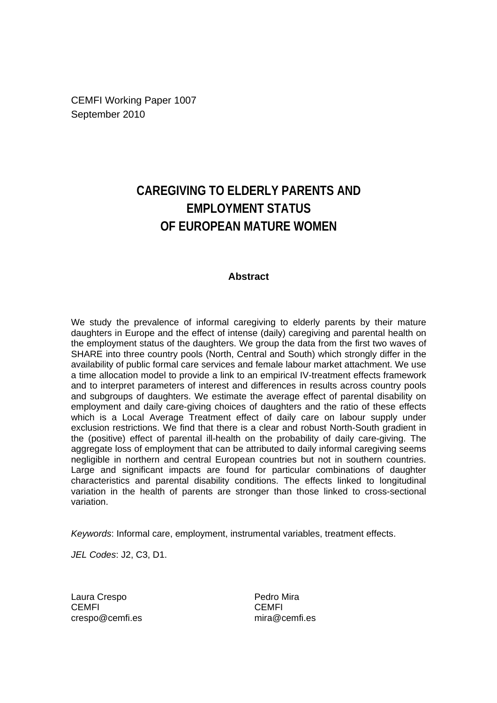CEMFI Working Paper 1007 September 2010

# **CAREGIVING TO ELDERLY PARENTS AND EMPLOYMENT STATUS OF EUROPEAN MATURE WOMEN**

#### **Abstract**

We study the prevalence of informal caregiving to elderly parents by their mature daughters in Europe and the effect of intense (daily) caregiving and parental health on the employment status of the daughters. We group the data from the first two waves of SHARE into three country pools (North, Central and South) which strongly differ in the availability of public formal care services and female labour market attachment. We use a time allocation model to provide a link to an empirical IV-treatment effects framework and to interpret parameters of interest and differences in results across country pools and subgroups of daughters. We estimate the average effect of parental disability on employment and daily care-giving choices of daughters and the ratio of these effects which is a Local Average Treatment effect of daily care on labour supply under exclusion restrictions. We find that there is a clear and robust North-South gradient in the (positive) effect of parental ill-health on the probability of daily care-giving. The aggregate loss of employment that can be attributed to daily informal caregiving seems negligible in northern and central European countries but not in southern countries. Large and significant impacts are found for particular combinations of daughter characteristics and parental disability conditions. The effects linked to longitudinal variation in the health of parents are stronger than those linked to cross-sectional variation.

*Keywords*: Informal care, employment, instrumental variables, treatment effects.

*JEL Codes*: J2, C3, D1.

Laura Crespo **CEMFI** crespo@cemfi.es Pedro Mira CEMFI mira@cemfi.es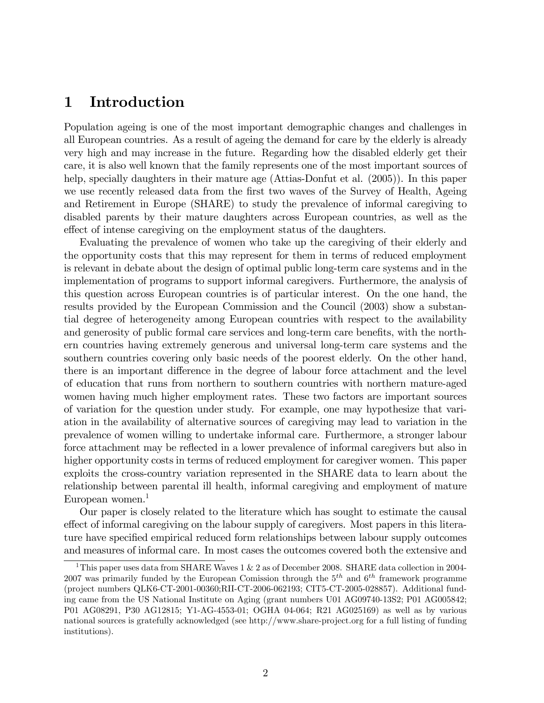# 1 Introduction

Population ageing is one of the most important demographic changes and challenges in all European countries. As a result of ageing the demand for care by the elderly is already very high and may increase in the future. Regarding how the disabled elderly get their care, it is also well known that the family represents one of the most important sources of help, specially daughters in their mature age (Attias-Donfut et al.  $(2005)$ ). In this paper we use recently released data from the first two waves of the Survey of Health, Ageing and Retirement in Europe (SHARE) to study the prevalence of informal caregiving to disabled parents by their mature daughters across European countries, as well as the effect of intense caregiving on the employment status of the daughters.

Evaluating the prevalence of women who take up the caregiving of their elderly and the opportunity costs that this may represent for them in terms of reduced employment is relevant in debate about the design of optimal public long-term care systems and in the implementation of programs to support informal caregivers. Furthermore, the analysis of this question across European countries is of particular interest. On the one hand, the results provided by the European Commission and the Council (2003) show a substantial degree of heterogeneity among European countries with respect to the availability and generosity of public formal care services and long-term care benefits, with the northern countries having extremely generous and universal long-term care systems and the southern countries covering only basic needs of the poorest elderly. On the other hand, there is an important difference in the degree of labour force attachment and the level of education that runs from northern to southern countries with northern mature-aged women having much higher employment rates. These two factors are important sources of variation for the question under study. For example, one may hypothesize that variation in the availability of alternative sources of caregiving may lead to variation in the prevalence of women willing to undertake informal care. Furthermore, a stronger labour force attachment may be reflected in a lower prevalence of informal caregivers but also in higher opportunity costs in terms of reduced employment for caregiver women. This paper exploits the cross-country variation represented in the SHARE data to learn about the relationship between parental ill health, informal caregiving and employment of mature European women. $<sup>1</sup>$ </sup>

Our paper is closely related to the literature which has sought to estimate the causal effect of informal caregiving on the labour supply of caregivers. Most papers in this literature have specified empirical reduced form relationships between labour supply outcomes and measures of informal care. In most cases the outcomes covered both the extensive and

<sup>&</sup>lt;sup>1</sup>This paper uses data from SHARE Waves 1 & 2 as of December 2008. SHARE data collection in 2004-2007 was primarily funded by the European Comission through the  $5<sup>th</sup>$  and  $6<sup>th</sup>$  framework programme (project numbers QLK6-CT-2001-00360;RII-CT-2006-062193; CIT5-CT-2005-028857). Additional funding came from the US National Institute on Aging (grant numbers U01 AG09740-13S2; P01 AG005842; P01 AG08291, P30 AG12815; Y1-AG-4553-01; OGHA 04-064; R21 AG025169) as well as by various national sources is gratefully acknowledged (see http://www.share-project.org for a full listing of funding institutions).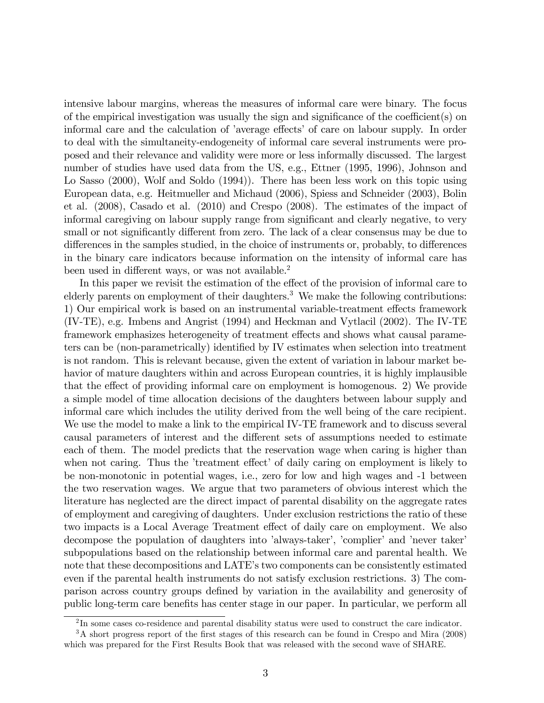intensive labour margins, whereas the measures of informal care were binary. The focus of the empirical investigation was usually the sign and significance of the coefficient(s) on informal care and the calculation of 'average effects' of care on labour supply. In order to deal with the simultaneity-endogeneity of informal care several instruments were proposed and their relevance and validity were more or less informally discussed. The largest number of studies have used data from the US, e.g., Ettner (1995, 1996), Johnson and Lo Sasso (2000), Wolf and Soldo (1994)). There has been less work on this topic using European data, e.g. Heitmueller and Michaud (2006), Spiess and Schneider (2003), Bolin et al. (2008), Casado et al. (2010) and Crespo (2008). The estimates of the impact of informal caregiving on labour supply range from significant and clearly negative, to very small or not significantly different from zero. The lack of a clear consensus may be due to differences in the samples studied, in the choice of instruments or, probably, to differences in the binary care indicators because information on the intensity of informal care has been used in different ways, or was not available.<sup>2</sup>

In this paper we revisit the estimation of the effect of the provision of informal care to elderly parents on employment of their daughters.<sup>3</sup> We make the following contributions: 1) Our empirical work is based on an instrumental variable-treatment effects framework (IV-TE), e.g. Imbens and Angrist (1994) and Heckman and Vytlacil (2002). The IV-TE framework emphasizes heterogeneity of treatment effects and shows what causal parameters can be (non-parametrically) identified by IV estimates when selection into treatment is not random. This is relevant because, given the extent of variation in labour market behavior of mature daughters within and across European countries, it is highly implausible that the effect of providing informal care on employment is homogenous. 2) We provide a simple model of time allocation decisions of the daughters between labour supply and informal care which includes the utility derived from the well being of the care recipient. We use the model to make a link to the empirical IV-TE framework and to discuss several causal parameters of interest and the different sets of assumptions needed to estimate each of them. The model predicts that the reservation wage when caring is higher than when not caring. Thus the 'treatment effect' of daily caring on employment is likely to be non-monotonic in potential wages, i.e., zero for low and high wages and -1 between the two reservation wages. We argue that two parameters of obvious interest which the literature has neglected are the direct impact of parental disability on the aggregate rates of employment and caregiving of daughters. Under exclusion restrictions the ratio of these two impacts is a Local Average Treatment effect of daily care on employment. We also decompose the population of daughters into 'always-taker', 'complier' and 'never taker' subpopulations based on the relationship between informal care and parental health. We note that these decompositions and LATE's two components can be consistently estimated even if the parental health instruments do not satisfy exclusion restrictions. 3) The comparison across country groups deÖned by variation in the availability and generosity of public long-term care benefits has center stage in our paper. In particular, we perform all

 $2 \text{In some cases co-residence and parental disability status were used to construct the care indicator.}$ 

<sup>&</sup>lt;sup>3</sup>A short progress report of the first stages of this research can be found in Crespo and Mira (2008) which was prepared for the First Results Book that was released with the second wave of SHARE.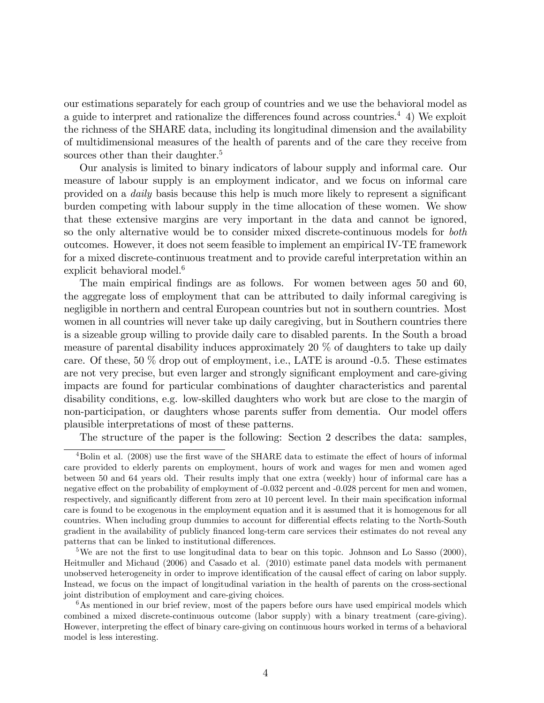our estimations separately for each group of countries and we use the behavioral model as a guide to interpret and rationalize the differences found across countries.<sup>4</sup> 4) We exploit the richness of the SHARE data, including its longitudinal dimension and the availability of multidimensional measures of the health of parents and of the care they receive from sources other than their daughter.<sup>5</sup>

Our analysis is limited to binary indicators of labour supply and informal care. Our measure of labour supply is an employment indicator, and we focus on informal care provided on a *daily* basis because this help is much more likely to represent a significant burden competing with labour supply in the time allocation of these women. We show that these extensive margins are very important in the data and cannot be ignored, so the only alternative would be to consider mixed discrete-continuous models for both outcomes. However, it does not seem feasible to implement an empirical IV-TE framework for a mixed discrete-continuous treatment and to provide careful interpretation within an explicit behavioral model.<sup>6</sup>

The main empirical findings are as follows. For women between ages 50 and 60, the aggregate loss of employment that can be attributed to daily informal caregiving is negligible in northern and central European countries but not in southern countries. Most women in all countries will never take up daily caregiving, but in Southern countries there is a sizeable group willing to provide daily care to disabled parents. In the South a broad measure of parental disability induces approximately 20 % of daughters to take up daily care. Of these,  $50\%$  drop out of employment, i.e., LATE is around  $-0.5$ . These estimates are not very precise, but even larger and strongly significant employment and care-giving impacts are found for particular combinations of daughter characteristics and parental disability conditions, e.g. low-skilled daughters who work but are close to the margin of non-participation, or daughters whose parents suffer from dementia. Our model offers plausible interpretations of most of these patterns.

The structure of the paper is the following: Section 2 describes the data: samples,

<sup>5</sup>We are not the first to use longitudinal data to bear on this topic. Johnson and Lo Sasso  $(2000)$ , Heitmuller and Michaud (2006) and Casado et al. (2010) estimate panel data models with permanent unobserved heterogeneity in order to improve identification of the causal effect of caring on labor supply. Instead, we focus on the impact of longitudinal variation in the health of parents on the cross-sectional joint distribution of employment and care-giving choices.

 $6$ As mentioned in our brief review, most of the papers before ours have used empirical models which combined a mixed discrete-continuous outcome (labor supply) with a binary treatment (care-giving). However, interpreting the effect of binary care-giving on continuous hours worked in terms of a behavioral model is less interesting.

 $^{4}$ Bolin et al. (2008) use the first wave of the SHARE data to estimate the effect of hours of informal care provided to elderly parents on employment, hours of work and wages for men and women aged between 50 and 64 years old. Their results imply that one extra (weekly) hour of informal care has a negative effect on the probability of employment of -0.032 percent and -0.028 percent for men and women, respectively, and significantly different from zero at 10 percent level. In their main specification informal care is found to be exogenous in the employment equation and it is assumed that it is homogenous for all countries. When including group dummies to account for differential effects relating to the North-South gradient in the availability of publicly Önanced long-term care services their estimates do not reveal any patterns that can be linked to institutional differences.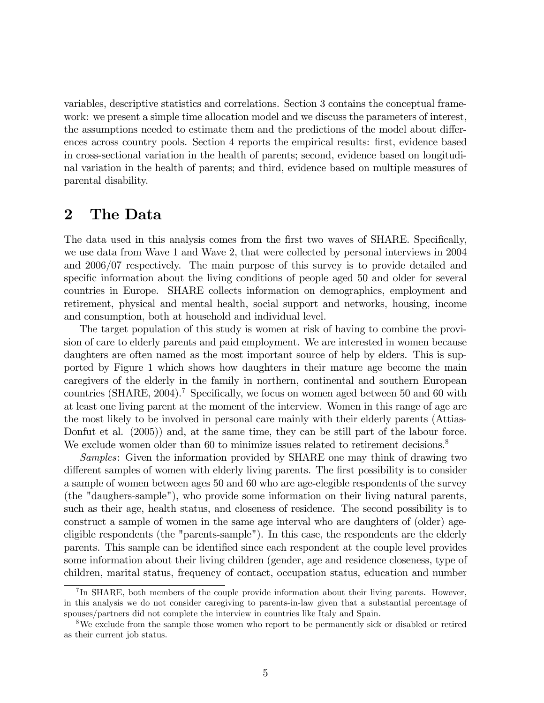variables, descriptive statistics and correlations. Section 3 contains the conceptual framework: we present a simple time allocation model and we discuss the parameters of interest, the assumptions needed to estimate them and the predictions of the model about differences across country pools. Section 4 reports the empirical results: first, evidence based in cross-sectional variation in the health of parents; second, evidence based on longitudinal variation in the health of parents; and third, evidence based on multiple measures of parental disability.

## 2 The Data

The data used in this analysis comes from the first two waves of SHARE. Specifically, we use data from Wave 1 and Wave 2, that were collected by personal interviews in 2004 and 2006/07 respectively. The main purpose of this survey is to provide detailed and specific information about the living conditions of people aged 50 and older for several countries in Europe. SHARE collects information on demographics, employment and retirement, physical and mental health, social support and networks, housing, income and consumption, both at household and individual level.

The target population of this study is women at risk of having to combine the provision of care to elderly parents and paid employment. We are interested in women because daughters are often named as the most important source of help by elders. This is supported by Figure 1 which shows how daughters in their mature age become the main caregivers of the elderly in the family in northern, continental and southern European countries (SHARE, 2004).<sup>7</sup> Specifically, we focus on women aged between 50 and 60 with at least one living parent at the moment of the interview. Women in this range of age are the most likely to be involved in personal care mainly with their elderly parents (Attias-Donfut et al. (2005)) and, at the same time, they can be still part of the labour force. We exclude women older than 60 to minimize issues related to retirement decisions.<sup>8</sup>

Samples: Given the information provided by SHARE one may think of drawing two different samples of women with elderly living parents. The first possibility is to consider a sample of women between ages 50 and 60 who are age-elegible respondents of the survey (the "daughers-sample"), who provide some information on their living natural parents, such as their age, health status, and closeness of residence. The second possibility is to construct a sample of women in the same age interval who are daughters of (older) ageeligible respondents (the "parents-sample"). In this case, the respondents are the elderly parents. This sample can be identified since each respondent at the couple level provides some information about their living children (gender, age and residence closeness, type of children, marital status, frequency of contact, occupation status, education and number

<sup>&</sup>lt;sup>7</sup>In SHARE, both members of the couple provide information about their living parents. However, in this analysis we do not consider caregiving to parents-in-law given that a substantial percentage of spouses/partners did not complete the interview in countries like Italy and Spain.

<sup>&</sup>lt;sup>8</sup>We exclude from the sample those women who report to be permanently sick or disabled or retired as their current job status.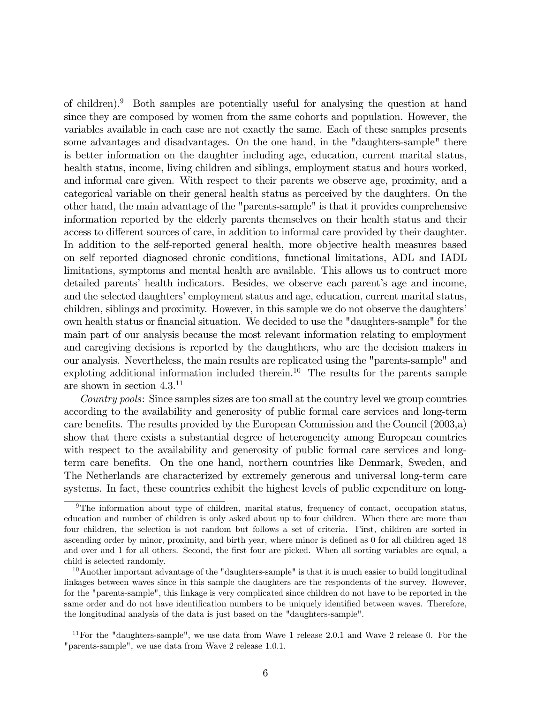of children).<sup>9</sup> Both samples are potentially useful for analysing the question at hand since they are composed by women from the same cohorts and population. However, the variables available in each case are not exactly the same. Each of these samples presents some advantages and disadvantages. On the one hand, in the "daughters-sample" there is better information on the daughter including age, education, current marital status, health status, income, living children and siblings, employment status and hours worked, and informal care given. With respect to their parents we observe age, proximity, and a categorical variable on their general health status as perceived by the daughters. On the other hand, the main advantage of the "parents-sample" is that it provides comprehensive information reported by the elderly parents themselves on their health status and their access to different sources of care, in addition to informal care provided by their daughter. In addition to the self-reported general health, more objective health measures based on self reported diagnosed chronic conditions, functional limitations, ADL and IADL limitations, symptoms and mental health are available. This allows us to contruct more detailed parents' health indicators. Besides, we observe each parent's age and income, and the selected daughters' employment status and age, education, current marital status, children, siblings and proximity. However, in this sample we do not observe the daughters' own health status or financial situation. We decided to use the "daughters-sample" for the main part of our analysis because the most relevant information relating to employment and caregiving decisions is reported by the daughthers, who are the decision makers in our analysis. Nevertheless, the main results are replicated using the "parents-sample" and exploting additional information included therein.<sup>10</sup> The results for the parents sample are shown in section 4.3.<sup>11</sup>

Country pools: Since samples sizes are too small at the country level we group countries according to the availability and generosity of public formal care services and long-term care benefits. The results provided by the European Commission and the Council (2003,a) show that there exists a substantial degree of heterogeneity among European countries with respect to the availability and generosity of public formal care services and longterm care benefits. On the one hand, northern countries like Denmark, Sweden, and The Netherlands are characterized by extremely generous and universal long-term care systems. In fact, these countries exhibit the highest levels of public expenditure on long-

<sup>&</sup>lt;sup>9</sup>The information about type of children, marital status, frequency of contact, occupation status, education and number of children is only asked about up to four children. When there are more than four children, the selection is not random but follows a set of criteria. First, children are sorted in ascending order by minor, proximity, and birth year, where minor is defined as 0 for all children aged 18 and over and 1 for all others. Second, the first four are picked. When all sorting variables are equal, a child is selected randomly.

<sup>&</sup>lt;sup>10</sup>Another important advantage of the "daughters-sample" is that it is much easier to build longitudinal linkages between waves since in this sample the daughters are the respondents of the survey. However, for the "parents-sample", this linkage is very complicated since children do not have to be reported in the same order and do not have identification numbers to be uniquely identified between waves. Therefore, the longitudinal analysis of the data is just based on the "daughters-sample".

 $11$  For the "daughters-sample", we use data from Wave 1 release 2.0.1 and Wave 2 release 0. For the "parents-sample", we use data from Wave 2 release 1.0.1.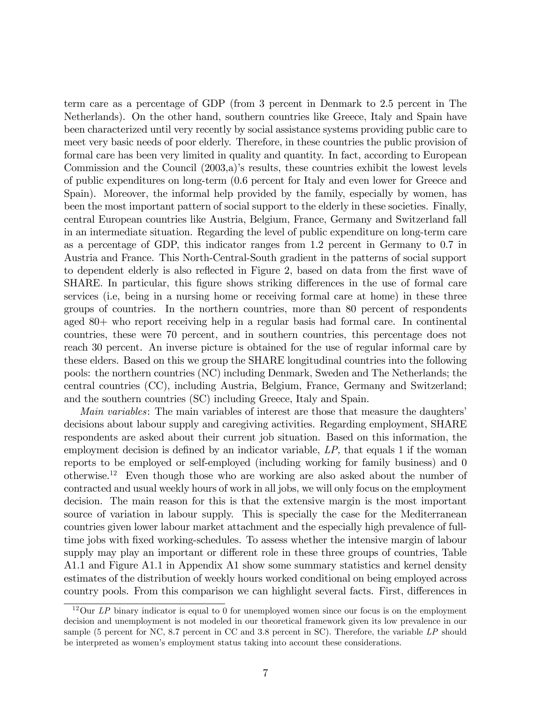term care as a percentage of GDP (from 3 percent in Denmark to 2.5 percent in The Netherlands). On the other hand, southern countries like Greece, Italy and Spain have been characterized until very recently by social assistance systems providing public care to meet very basic needs of poor elderly. Therefore, in these countries the public provision of formal care has been very limited in quality and quantity. In fact, according to European Commission and the Council  $(2003,a)$ 's results, these countries exhibit the lowest levels of public expenditures on long-term (0.6 percent for Italy and even lower for Greece and Spain). Moreover, the informal help provided by the family, especially by women, has been the most important pattern of social support to the elderly in these societies. Finally, central European countries like Austria, Belgium, France, Germany and Switzerland fall in an intermediate situation. Regarding the level of public expenditure on long-term care as a percentage of GDP, this indicator ranges from 1.2 percent in Germany to 0.7 in Austria and France. This North-Central-South gradient in the patterns of social support to dependent elderly is also reflected in Figure 2, based on data from the first wave of SHARE. In particular, this figure shows striking differences in the use of formal care services (i.e, being in a nursing home or receiving formal care at home) in these three groups of countries. In the northern countries, more than 80 percent of respondents aged 80+ who report receiving help in a regular basis had formal care. In continental countries, these were 70 percent, and in southern countries, this percentage does not reach 30 percent. An inverse picture is obtained for the use of regular informal care by these elders. Based on this we group the SHARE longitudinal countries into the following pools: the northern countries (NC) including Denmark, Sweden and The Netherlands; the central countries (CC), including Austria, Belgium, France, Germany and Switzerland; and the southern countries (SC) including Greece, Italy and Spain.

*Main variables:* The main variables of interest are those that measure the daughters' decisions about labour supply and caregiving activities. Regarding employment, SHARE respondents are asked about their current job situation. Based on this information, the employment decision is defined by an indicator variable,  $LP$ , that equals 1 if the woman reports to be employed or self-employed (including working for family business) and 0 otherwise.<sup>12</sup> Even though those who are working are also asked about the number of contracted and usual weekly hours of work in all jobs, we will only focus on the employment decision. The main reason for this is that the extensive margin is the most important source of variation in labour supply. This is specially the case for the Mediterranean countries given lower labour market attachment and the especially high prevalence of fulltime jobs with Öxed working-schedules. To assess whether the intensive margin of labour supply may play an important or different role in these three groups of countries, Table A1.1 and Figure A1.1 in Appendix A1 show some summary statistics and kernel density estimates of the distribution of weekly hours worked conditional on being employed across country pools. From this comparison we can highlight several facts. First, differences in

 $12$ Our LP binary indicator is equal to 0 for unemployed women since our focus is on the employment decision and unemployment is not modeled in our theoretical framework given its low prevalence in our sample (5 percent for NC, 8.7 percent in CC and 3.8 percent in SC). Therefore, the variable LP should be interpreted as womenís employment status taking into account these considerations.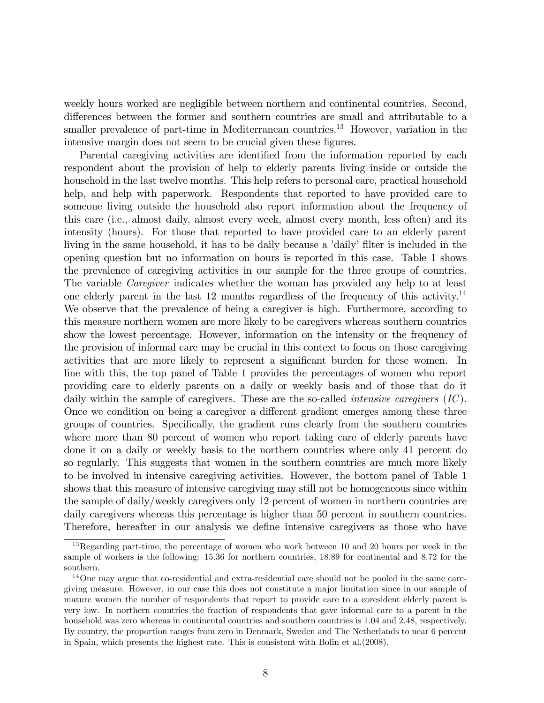weekly hours worked are negligible between northern and continental countries. Second, differences between the former and southern countries are small and attributable to a smaller prevalence of part-time in Mediterranean countries.<sup>13</sup> However, variation in the intensive margin does not seem to be crucial given these figures.

Parental caregiving activities are identified from the information reported by each respondent about the provision of help to elderly parents living inside or outside the household in the last twelve months. This help refers to personal care, practical household help, and help with paperwork. Respondents that reported to have provided care to someone living outside the household also report information about the frequency of this care (i.e., almost daily, almost every week, almost every month, less often) and its intensity (hours). For those that reported to have provided care to an elderly parent living in the same household, it has to be daily because a 'daily' filter is included in the opening question but no information on hours is reported in this case. Table 1 shows the prevalence of caregiving activities in our sample for the three groups of countries. The variable Caregiver indicates whether the woman has provided any help to at least one elderly parent in the last 12 months regardless of the frequency of this activity.<sup>14</sup> We observe that the prevalence of being a caregiver is high. Furthermore, according to this measure northern women are more likely to be caregivers whereas southern countries show the lowest percentage. However, information on the intensity or the frequency of the provision of informal care may be crucial in this context to focus on those caregiving activities that are more likely to represent a significant burden for these women. In line with this, the top panel of Table 1 provides the percentages of women who report providing care to elderly parents on a daily or weekly basis and of those that do it daily within the sample of caregivers. These are the so-called *intensive caregivers* (IC). Once we condition on being a caregiver a different gradient emerges among these three groups of countries. Specifically, the gradient runs clearly from the southern countries where more than 80 percent of women who report taking care of elderly parents have done it on a daily or weekly basis to the northern countries where only 41 percent do so regularly. This suggests that women in the southern countries are much more likely to be involved in intensive caregiving activities. However, the bottom panel of Table 1 shows that this measure of intensive caregiving may still not be homogeneous since within the sample of daily/weekly caregivers only 12 percent of women in northern countries are daily caregivers whereas this percentage is higher than 50 percent in southern countries. Therefore, hereafter in our analysis we define intensive caregivers as those who have

<sup>&</sup>lt;sup>13</sup>Regarding part-time, the percentage of women who work between 10 and 20 hours per week in the sample of workers is the following: 15.36 for northern countries, 18.89 for continental and 8.72 for the southern.

<sup>&</sup>lt;sup>14</sup>One may argue that co-residential and extra-residential care should not be pooled in the same caregiving measure. However, in our case this does not constitute a major limitation since in our sample of mature women the number of respondents that report to provide care to a coresident elderly parent is very low. In northern countries the fraction of respondents that gave informal care to a parent in the household was zero whereas in continental countries and southern countries is 1.04 and 2.48, respectively. By country, the proportion ranges from zero in Denmark, Sweden and The Netherlands to near 6 percent in Spain, which presents the highest rate. This is consistent with Bolin et al.(2008).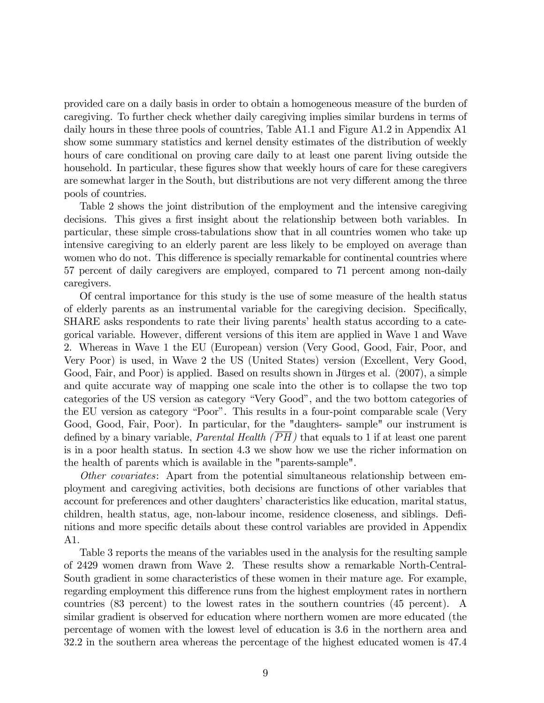provided care on a daily basis in order to obtain a homogeneous measure of the burden of caregiving. To further check whether daily caregiving implies similar burdens in terms of daily hours in these three pools of countries, Table A1.1 and Figure A1.2 in Appendix A1 show some summary statistics and kernel density estimates of the distribution of weekly hours of care conditional on proving care daily to at least one parent living outside the household. In particular, these figures show that weekly hours of care for these caregivers are somewhat larger in the South, but distributions are not very different among the three pools of countries.

Table 2 shows the joint distribution of the employment and the intensive caregiving decisions. This gives a first insight about the relationship between both variables. In particular, these simple cross-tabulations show that in all countries women who take up intensive caregiving to an elderly parent are less likely to be employed on average than women who do not. This difference is specially remarkable for continental countries where 57 percent of daily caregivers are employed, compared to 71 percent among non-daily caregivers.

Of central importance for this study is the use of some measure of the health status of elderly parents as an instrumental variable for the caregiving decision. Specifically, SHARE asks respondents to rate their living parents' health status according to a categorical variable. However, different versions of this item are applied in Wave 1 and Wave 2. Whereas in Wave 1 the EU (European) version (Very Good, Good, Fair, Poor, and Very Poor) is used, in Wave 2 the US (United States) version (Excellent, Very Good, Good, Fair, and Poor) is applied. Based on results shown in Jürges et al. (2007), a simple and quite accurate way of mapping one scale into the other is to collapse the two top categories of the US version as category "Very Good", and the two bottom categories of the EU version as category "Poor". This results in a four-point comparable scale (Very Good, Good, Fair, Poor). In particular, for the "daughters- sample" our instrument is defined by a binary variable, *Parental Health* ( $\overline{PH}$ ) that equals to 1 if at least one parent is in a poor health status. In section 4.3 we show how we use the richer information on the health of parents which is available in the "parents-sample".

Other covariates: Apart from the potential simultaneous relationship between employment and caregiving activities, both decisions are functions of other variables that account for preferences and other daughters' characteristics like education, marital status, children, health status, age, non-labour income, residence closeness, and siblings. Definitions and more specific details about these control variables are provided in Appendix A1.

Table 3 reports the means of the variables used in the analysis for the resulting sample of 2429 women drawn from Wave 2. These results show a remarkable North-Central-South gradient in some characteristics of these women in their mature age. For example, regarding employment this difference runs from the highest employment rates in northern countries (83 percent) to the lowest rates in the southern countries (45 percent). A similar gradient is observed for education where northern women are more educated (the percentage of women with the lowest level of education is 3.6 in the northern area and 32.2 in the southern area whereas the percentage of the highest educated women is 47.4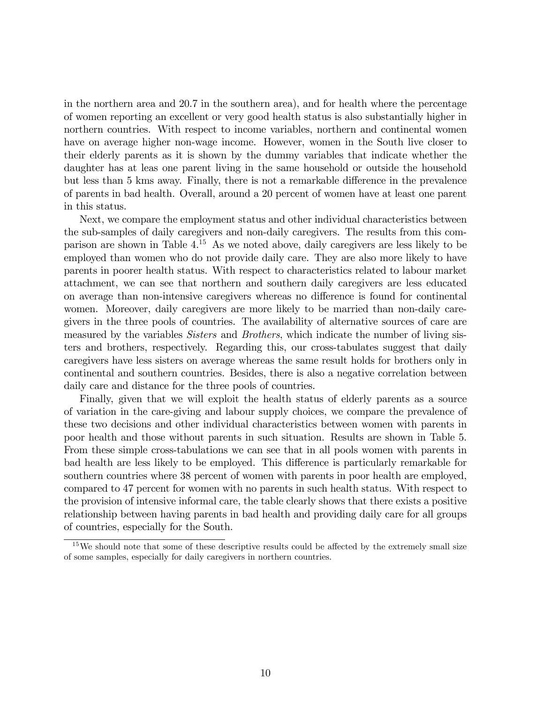in the northern area and 20.7 in the southern area), and for health where the percentage of women reporting an excellent or very good health status is also substantially higher in northern countries. With respect to income variables, northern and continental women have on average higher non-wage income. However, women in the South live closer to their elderly parents as it is shown by the dummy variables that indicate whether the daughter has at leas one parent living in the same household or outside the household but less than 5 kms away. Finally, there is not a remarkable difference in the prevalence of parents in bad health. Overall, around a 20 percent of women have at least one parent in this status.

Next, we compare the employment status and other individual characteristics between the sub-samples of daily caregivers and non-daily caregivers. The results from this comparison are shown in Table 4.<sup>15</sup> As we noted above, daily caregivers are less likely to be employed than women who do not provide daily care. They are also more likely to have parents in poorer health status. With respect to characteristics related to labour market attachment, we can see that northern and southern daily caregivers are less educated on average than non-intensive caregivers whereas no difference is found for continental women. Moreover, daily caregivers are more likely to be married than non-daily caregivers in the three pools of countries. The availability of alternative sources of care are measured by the variables *Sisters* and *Brothers*, which indicate the number of living sisters and brothers, respectively. Regarding this, our cross-tabulates suggest that daily caregivers have less sisters on average whereas the same result holds for brothers only in continental and southern countries. Besides, there is also a negative correlation between daily care and distance for the three pools of countries.

Finally, given that we will exploit the health status of elderly parents as a source of variation in the care-giving and labour supply choices, we compare the prevalence of these two decisions and other individual characteristics between women with parents in poor health and those without parents in such situation. Results are shown in Table 5. From these simple cross-tabulations we can see that in all pools women with parents in bad health are less likely to be employed. This difference is particularly remarkable for southern countries where 38 percent of women with parents in poor health are employed, compared to 47 percent for women with no parents in such health status. With respect to the provision of intensive informal care, the table clearly shows that there exists a positive relationship between having parents in bad health and providing daily care for all groups of countries, especially for the South.

 $15$ We should note that some of these descriptive results could be affected by the extremely small size of some samples, especially for daily caregivers in northern countries.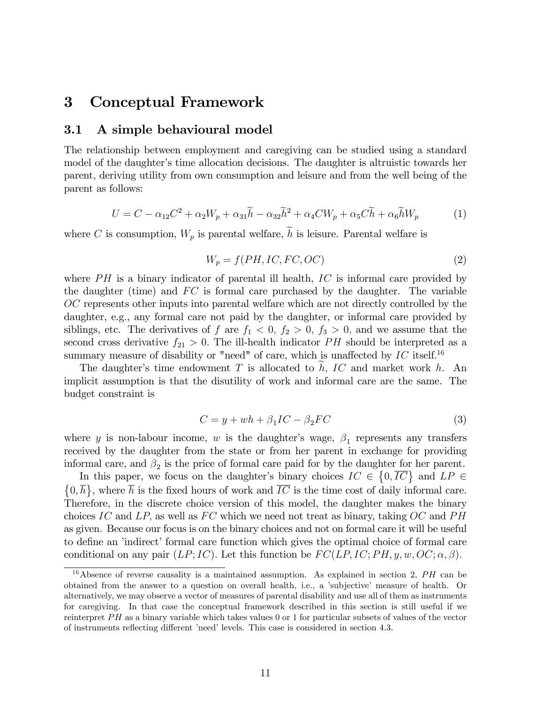# 3 Conceptual Framework

### 3.1 A simple behavioural model

The relationship between employment and caregiving can be studied using a standard model of the daughter's time allocation decisions. The daughter is altruistic towards her parent, deriving utility from own consumption and leisure and from the well being of the parent as follows:

$$
U = C - \alpha_{12}C^2 + \alpha_2 W_p + \alpha_{31}\tilde{h} - \alpha_{32}\tilde{h}^2 + \alpha_4 CW_p + \alpha_5 C \tilde{h} + \alpha_6 \tilde{h}W_p \tag{1}
$$

where C is consumption,  $W_p$  is parental welfare,  $\tilde{h}$  is leisure. Parental welfare is

$$
W_p = f(PH, IC, FC, OC)
$$
\n<sup>(2)</sup>

where  $PH$  is a binary indicator of parental ill health,  $IC$  is informal care provided by the daughter (time) and  $FC$  is formal care purchased by the daughter. The variable OC represents other inputs into parental welfare which are not directly controlled by the daughter, e.g., any formal care not paid by the daughter, or informal care provided by siblings, etc. The derivatives of f are  $f_1 < 0$ ,  $f_2 > 0$ ,  $f_3 > 0$ , and we assume that the second cross derivative  $f_{21} > 0$ . The ill-health indicator PH should be interpreted as a summary measure of disability or "need" of care, which is unaffected by  $IC$  itself.<sup>16</sup>

The daughter's time endowment T is allocated to  $h$ , IC and market work h. An implicit assumption is that the disutility of work and informal care are the same. The budget constraint is

$$
C = y + wh + \beta_1 IC - \beta_2 FC \tag{3}
$$

where y is non-labour income, w is the daughter's wage,  $\beta_1$  represents any transfers received by the daughter from the state or from her parent in exchange for providing informal care, and  $\beta_2$  is the price of formal care paid for by the daughter for her parent.

In this paper, we focus on the daughter's binary choices  $IC \in \{0, \overline{IC}\}$  and  $LP \in \mathbb{R}$  $\{0,\overline{h}\}\,$ , where  $\overline{h}$  is the fixed hours of work and  $\overline{IC}$  is the time cost of daily informal care. Therefore, in the discrete choice version of this model, the daughter makes the binary choices IC and LP, as well as FC which we need not treat as binary, taking  $OC$  and PH as given. Because our focus is on the binary choices and not on formal care it will be useful to define an 'indirect' formal care function which gives the optimal choice of formal care conditional on any pair (LP; IC). Let this function be  $FC(LP, IC; PH, y, w, OC; \alpha, \beta)$ .

<sup>&</sup>lt;sup>16</sup>Absence of reverse causality is a maintained assumption. As explained in section 2,  $PH$  can be obtained from the answer to a question on overall health, i.e., a ísubjectiveí measure of health. Or alternatively, we may observe a vector of measures of parental disability and use all of them as instruments for caregiving. In that case the conceptual framework described in this section is still useful if we reinterpret  $PH$  as a binary variable which takes values 0 or 1 for particular subsets of values of the vector of instruments reflecting different 'need' levels. This case is considered in section 4.3.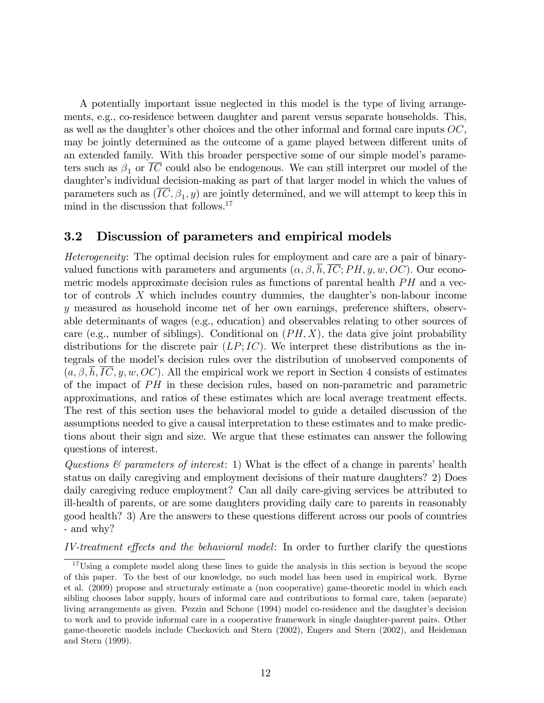A potentially important issue neglected in this model is the type of living arrangements, e.g., co-residence between daughter and parent versus separate households. This, as well as the daughter's other choices and the other informal and formal care inputs  $OC$ , may be jointly determined as the outcome of a game played between different units of an extended family. With this broader perspective some of our simple model's parameters such as  $\beta_1$  or IC could also be endogenous. We can still interpret our model of the daughter's individual decision-making as part of that larger model in which the values of parameters such as  $(IC, \beta_1, y)$  are jointly determined, and we will attempt to keep this in mind in the discussion that follows.<sup>17</sup>

### 3.2 Discussion of parameters and empirical models

Heterogeneity: The optimal decision rules for employment and care are a pair of binaryvalued functions with parameters and arguments  $(\alpha, \beta, \overline{h}, \overline{IC}; PH, y, w, OC)$ . Our econometric models approximate decision rules as functions of parental health  $PH$  and a vector of controls  $X$  which includes country dummies, the daughter's non-labour income y measured as household income net of her own earnings, preference shifters, observable determinants of wages (e.g., education) and observables relating to other sources of care (e.g., number of siblings). Conditional on  $(PH, X)$ , the data give joint probability distributions for the discrete pair  $(LP; IC)$ . We interpret these distributions as the integrals of the modelís decision rules over the distribution of unobserved components of  $(a, \beta, h, IC, y, w, OC)$ . All the empirical work we report in Section 4 consists of estimates of the impact of  $PH$  in these decision rules, based on non-parametric and parametric approximations, and ratios of these estimates which are local average treatment effects. The rest of this section uses the behavioral model to guide a detailed discussion of the assumptions needed to give a causal interpretation to these estimates and to make predictions about their sign and size. We argue that these estimates can answer the following questions of interest.

Questions  $\mathcal{C}$  parameters of interest: 1) What is the effect of a change in parents' health status on daily caregiving and employment decisions of their mature daughters? 2) Does daily caregiving reduce employment? Can all daily care-giving services be attributed to ill-health of parents, or are some daughters providing daily care to parents in reasonably good health? 3) Are the answers to these questions different across our pools of countries - and why?

IV-treatment effects and the behavioral model: In order to further clarify the questions

<sup>&</sup>lt;sup>17</sup>Using a complete model along these lines to guide the analysis in this section is beyond the scope of this paper. To the best of our knowledge, no such model has been used in empirical work. Byrne et al. (2009) propose and structuraly estimate a (non cooperative) game-theoretic model in which each sibling chooses labor supply, hours of informal care and contributions to formal care, taken (separate) living arrangements as given. Pezzin and Schone (1994) model co-residence and the daughter's decision to work and to provide informal care in a cooperative framework in single daughter-parent pairs. Other game-theoretic models include Checkovich and Stern (2002), Engers and Stern (2002), and Heideman and Stern (1999).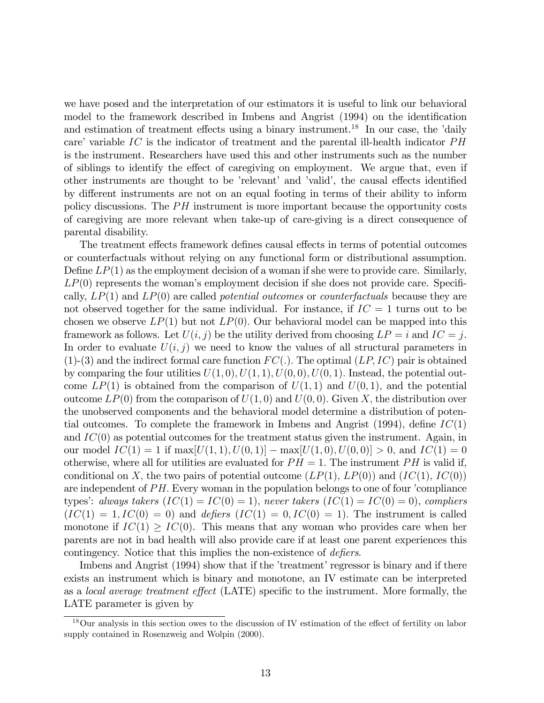we have posed and the interpretation of our estimators it is useful to link our behavioral model to the framework described in Imbens and Angrist (1994) on the identification and estimation of treatment effects using a binary instrument.<sup>18</sup> In our case, the  $d$ daily care' variable  $IC$  is the indicator of treatment and the parental ill-health indicator  $PH$ is the instrument. Researchers have used this and other instruments such as the number of siblings to identify the effect of caregiving on employment. We argue that, even if other instruments are thought to be 'relevant' and 'valid', the causal effects identified by different instruments are not on an equal footing in terms of their ability to inform policy discussions. The  $PH$  instrument is more important because the opportunity costs of caregiving are more relevant when take-up of care-giving is a direct consequence of parental disability.

The treatment effects framework defines causal effects in terms of potential outcomes or counterfactuals without relying on any functional form or distributional assumption. Define  $LP(1)$  as the employment decision of a woman if she were to provide care. Similarly,  $LP(0)$  represents the woman's employment decision if she does not provide care. Specifically,  $LP(1)$  and  $LP(0)$  are called *potential outcomes* or *counterfactuals* because they are not observed together for the same individual. For instance, if  $IC = 1$  turns out to be chosen we observe  $LP(1)$  but not  $LP(0)$ . Our behavioral model can be mapped into this framework as follows. Let  $U(i, j)$  be the utility derived from choosing  $LP = i$  and  $IC = j$ . In order to evaluate  $U(i, j)$  we need to know the values of all structural parameters in  $(1)-(3)$  and the indirect formal care function  $FC(.)$ . The optimal  $(LP, IC)$  pair is obtained by comparing the four utilities  $U(1,0), U(1,1), U(0,0), U(0,1)$ . Instead, the potential outcome  $LP(1)$  is obtained from the comparison of  $U(1,1)$  and  $U(0,1)$ , and the potential outcome  $LP(0)$  from the comparison of  $U(1,0)$  and  $U(0,0)$ . Given X, the distribution over the unobserved components and the behavioral model determine a distribution of potential outcomes. To complete the framework in Imbens and Angrist (1994), define  $IC(1)$ and  $IC(0)$  as potential outcomes for the treatment status given the instrument. Again, in our model  $IC(1) = 1$  if  $\max[U(1,1), U(0,1)] - \max[U(1,0), U(0,0)] > 0$ , and  $IC(1) = 0$ otherwise, where all for utilities are evaluated for  $PH = 1$ . The instrument PH is valid if, conditional on X, the two pairs of potential outcome  $(LP(1), LP(0))$  and  $(IC(1), IC(0))$ are independent of  $PH$ . Every woman in the population belongs to one of four  $\dot{}$  compliance types': always takers  $(IC(1) = IC(0) = 1)$ , never takers  $(IC(1) = IC(0) = 0)$ , compliers  $(IC(1) = 1, IC(0) = 0)$  and defiers  $(IC(1) = 0, IC(0) = 1)$ . The instrument is called monotone if  $IC(1) \geq IC(0)$ . This means that any woman who provides care when her parents are not in bad health will also provide care if at least one parent experiences this contingency. Notice that this implies the non-existence of *defiers*.

Imbens and Angrist (1994) show that if the 'treatment' regressor is binary and if there exists an instrument which is binary and monotone, an IV estimate can be interpreted as a *local average treatment effect* (LATE) specific to the instrument. More formally, the LATE parameter is given by

 $18$ Our analysis in this section owes to the discussion of IV estimation of the effect of fertility on labor supply contained in Rosenzweig and Wolpin (2000).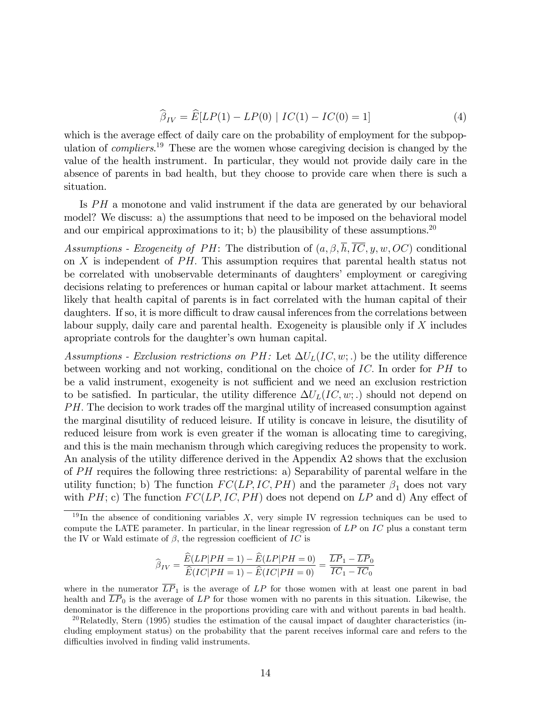$$
\widehat{\beta}_{IV} = \widehat{E}[LP(1) - LP(0) | IC(1) - IC(0) = 1]
$$
\n(4)

which is the average effect of daily care on the probability of employment for the subpopulation of *compliers*.<sup>19</sup> These are the women whose caregiving decision is changed by the value of the health instrument. In particular, they would not provide daily care in the absence of parents in bad health, but they choose to provide care when there is such a situation.

Is  $PH$  a monotone and valid instrument if the data are generated by our behavioral model? We discuss: a) the assumptions that need to be imposed on the behavioral model and our empirical approximations to it; b) the plausibility of these assumptions.<sup>20</sup>

Assumptions - Exogeneity of PH: The distribution of  $(a, \beta, \overline{h}, \overline{IC}, y, w, OC)$  conditional on  $X$  is independent of  $PH$ . This assumption requires that parental health status not be correlated with unobservable determinants of daughters' employment or caregiving decisions relating to preferences or human capital or labour market attachment. It seems likely that health capital of parents is in fact correlated with the human capital of their daughters. If so, it is more difficult to draw causal inferences from the correlations between labour supply, daily care and parental health. Exogeneity is plausible only if X includes apropriate controls for the daughter's own human capital.

Assumptions - Exclusion restrictions on PH: Let  $\Delta U_L(IC, w;.)$  be the utility difference between working and not working, conditional on the choice of  $\mathcal{IC}$ . In order for  $\mathcal{PH}$  to be a valid instrument, exogeneity is not sufficient and we need an exclusion restriction to be satisfied. In particular, the utility difference  $\Delta U_L(IC, w; .)$  should not depend on  $PH.$  The decision to work trades off the marginal utility of increased consumption against the marginal disutility of reduced leisure. If utility is concave in leisure, the disutility of reduced leisure from work is even greater if the woman is allocating time to caregiving, and this is the main mechanism through which caregiving reduces the propensity to work. An analysis of the utility difference derived in the Appendix A2 shows that the exclusion of  $PH$  requires the following three restrictions: a) Separability of parental welfare in the utility function; b) The function  $FC(LP, IC, PH)$  and the parameter  $\beta_1$  does not vary with  $PH$ ; c) The function  $FC(LP, IC, PH)$  does not depend on  $LP$  and d) Any effect of

$$
\widehat{\beta}_{IV} = \frac{\widehat{E}(LP|PH=1) - \widehat{E}(LP|PH=0)}{\widehat{E}(IC|PH=1) - \widehat{E}(IC|PH=0)} = \frac{\overline{LP}_1 - \overline{LP}_0}{\overline{IC}_1 - \overline{IC}_0}
$$

where in the numerator  $\overline{LP}_1$  is the average of LP for those women with at least one parent in bad health and  $\overline{LP}_0$  is the average of LP for those women with no parents in this situation. Likewise, the denominator is the difference in the proportions providing care with and without parents in bad health.

<sup>&</sup>lt;sup>19</sup>In the absence of conditioning variables  $X$ , very simple IV regression techniques can be used to compute the LATE parameter. In particular, in the linear regression of  $LP$  on  $IC$  plus a constant term the IV or Wald estimate of  $\beta$ , the regression coefficient of IC is

<sup>&</sup>lt;sup>20</sup>Relatedly, Stern (1995) studies the estimation of the causal impact of daughter characteristics (including employment status) on the probability that the parent receives informal care and refers to the difficulties involved in finding valid instruments.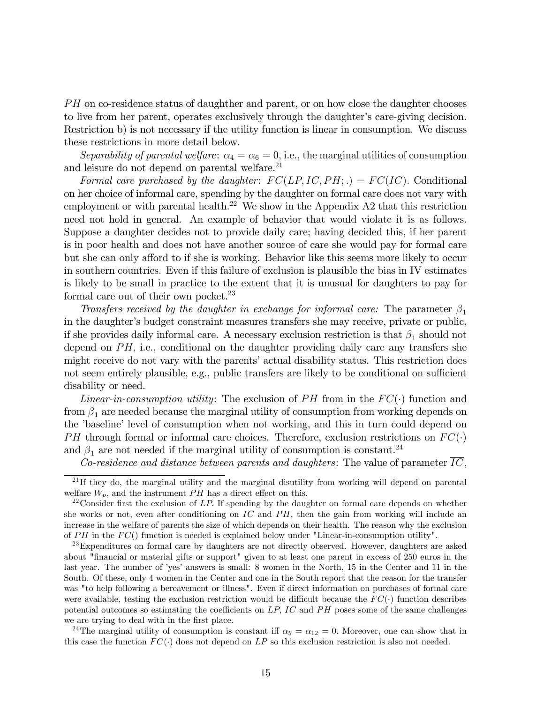PH on co-residence status of daughther and parent, or on how close the daughter chooses to live from her parent, operates exclusively through the daughter's care-giving decision. Restriction b) is not necessary if the utility function is linear in consumption. We discuss these restrictions in more detail below.

Separability of parental welfare:  $\alpha_4 = \alpha_6 = 0$ , i.e., the marginal utilities of consumption and leisure do not depend on parental welfare.<sup>21</sup>

Formal care purchased by the daughter:  $FC(LP, IC, PH;.) = FC(IC)$ . Conditional on her choice of informal care, spending by the daughter on formal care does not vary with employment or with parental health.<sup>22</sup> We show in the Appendix A2 that this restriction need not hold in general. An example of behavior that would violate it is as follows. Suppose a daughter decides not to provide daily care; having decided this, if her parent is in poor health and does not have another source of care she would pay for formal care but she can only afford to if she is working. Behavior like this seems more likely to occur in southern countries. Even if this failure of exclusion is plausible the bias in IV estimates is likely to be small in practice to the extent that it is unusual for daughters to pay for formal care out of their own pocket.<sup>23</sup>

Transfers received by the daughter in exchange for informal care: The parameter  $\beta_1$ in the daughter's budget constraint measures transfers she may receive, private or public, if she provides daily informal care. A necessary exclusion restriction is that  $\beta_1$  should not depend on  $PH$ , i.e., conditional on the daughter providing daily care any transfers she might receive do not vary with the parents' actual disability status. This restriction does not seem entirely plausible, e.g., public transfers are likely to be conditional on sufficient disability or need.

*Linear-in-consumption utility:* The exclusion of PH from in the  $FC(\cdot)$  function and from  $\beta_1$  are needed because the marginal utility of consumption from working depends on the 'baseline' level of consumption when not working, and this in turn could depend on PH through formal or informal care choices. Therefore, exclusion restrictions on  $FC(\cdot)$ and  $\beta_1$  are not needed if the marginal utility of consumption is constant.  $^{24}$ 

Co-residence and distance between parents and daughters: The value of parameter  $\overline{IC}$ ,

<sup>24</sup>The marginal utility of consumption is constant iff  $\alpha_5 = \alpha_{12} = 0$ . Moreover, one can show that in this case the function  $FC(\cdot)$  does not depend on LP so this exclusion restriction is also not needed.

 $21$  If they do, the marginal utility and the marginal disutility from working will depend on parental welfare  $W_p$ , and the instrument PH has a direct effect on this.

<sup>&</sup>lt;sup>22</sup> Consider first the exclusion of LP. If spending by the daughter on formal care depends on whether she works or not, even after conditioning on  $IC$  and  $PH$ , then the gain from working will include an increase in the welfare of parents the size of which depends on their health. The reason why the exclusion of  $PH$  in the  $FC()$  function is needed is explained below under "Linear-in-consumption utility".

<sup>&</sup>lt;sup>23</sup>Expenditures on formal care by daughters are not directly observed. However, daughters are asked about "Önancial or material gifts or support" given to at least one parent in excess of 250 euros in the last year. The number of 'yes' answers is small: 8 women in the North, 15 in the Center and 11 in the South. Of these, only 4 women in the Center and one in the South report that the reason for the transfer was "to help following a bereavement or illness". Even if direct information on purchases of formal care were available, testing the exclusion restriction would be difficult because the  $FC(\cdot)$  function describes potential outcomes so estimating the coefficients on  $LP$ ,  $IC$  and  $PH$  poses some of the same challenges we are trying to deal with in the first place.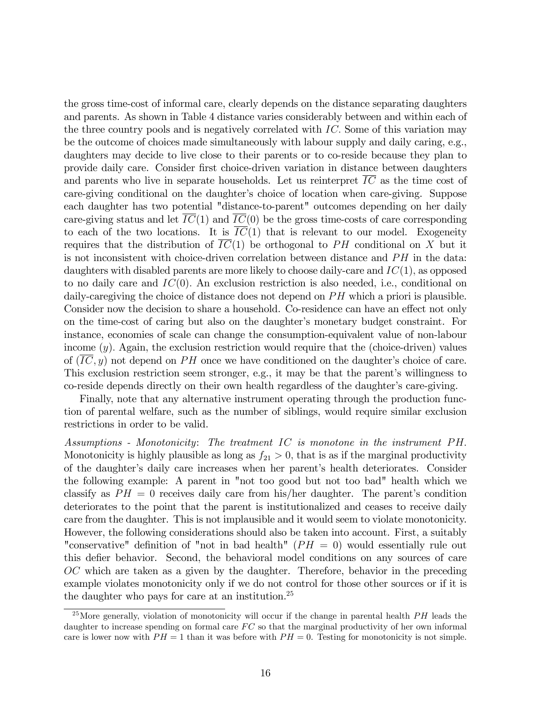the gross time-cost of informal care, clearly depends on the distance separating daughters and parents. As shown in Table 4 distance varies considerably between and within each of the three country pools and is negatively correlated with IC: Some of this variation may be the outcome of choices made simultaneously with labour supply and daily caring, e.g., daughters may decide to live close to their parents or to co-reside because they plan to provide daily care. Consider Örst choice-driven variation in distance between daughters and parents who live in separate households. Let us reinterpret  $\overline{IC}$  as the time cost of care-giving conditional on the daughter's choice of location when care-giving. Suppose each daughter has two potential "distance-to-parent" outcomes depending on her daily care-giving status and let  $\overline{IC}(1)$  and  $\overline{IC}(0)$  be the gross time-costs of care corresponding to each of the two locations. It is  $\overline{IC}(1)$  that is relevant to our model. Exogeneity requires that the distribution of  $\overline{IC(1)}$  be orthogonal to PH conditional on X but it is not inconsistent with choice-driven correlation between distance and  $PH$  in the data: daughters with disabled parents are more likely to choose daily-care and  $IC(1)$ , as opposed to no daily care and  $IC(0)$ . An exclusion restriction is also needed, i.e., conditional on daily-caregiving the choice of distance does not depend on  $PH$  which a priori is plausible. Consider now the decision to share a household. Co-residence can have an effect not only on the time-cost of caring but also on the daughter's monetary budget constraint. For instance, economies of scale can change the consumption-equivalent value of non-labour income  $(y)$ . Again, the exclusion restriction would require that the (choice-driven) values of  $(IC, y)$  not depend on PH once we have conditioned on the daughter's choice of care. This exclusion restriction seem stronger, e.g., it may be that the parent's willingness to co-reside depends directly on their own health regardless of the daughter's care-giving.

Finally, note that any alternative instrument operating through the production function of parental welfare, such as the number of siblings, would require similar exclusion restrictions in order to be valid.

Assumptions - Monotonicity: The treatment  $IC$  is monotone in the instrument  $PH$ . Monotonicity is highly plausible as long as  $f_{21} > 0$ , that is as if the marginal productivity of the daughter's daily care increases when her parent's health deteriorates. Consider the following example: A parent in "not too good but not too bad" health which we classify as  $PH = 0$  receives daily care from his/her daughter. The parent's condition deteriorates to the point that the parent is institutionalized and ceases to receive daily care from the daughter. This is not implausible and it would seem to violate monotonicity. However, the following considerations should also be taken into account. First, a suitably "conservative" definition of "not in bad health" ( $PH = 0$ ) would essentially rule out this defier behavior. Second, the behavioral model conditions on any sources of care OC which are taken as a given by the daughter. Therefore, behavior in the preceding example violates monotonicity only if we do not control for those other sources or if it is the daughter who pays for care at an institution.<sup>25</sup>

 $^{25}$ More generally, violation of monotonicity will occur if the change in parental health  $PH$  leads the daughter to increase spending on formal care  $FC$  so that the marginal productivity of her own informal care is lower now with  $PH = 1$  than it was before with  $PH = 0$ . Testing for monotonicity is not simple.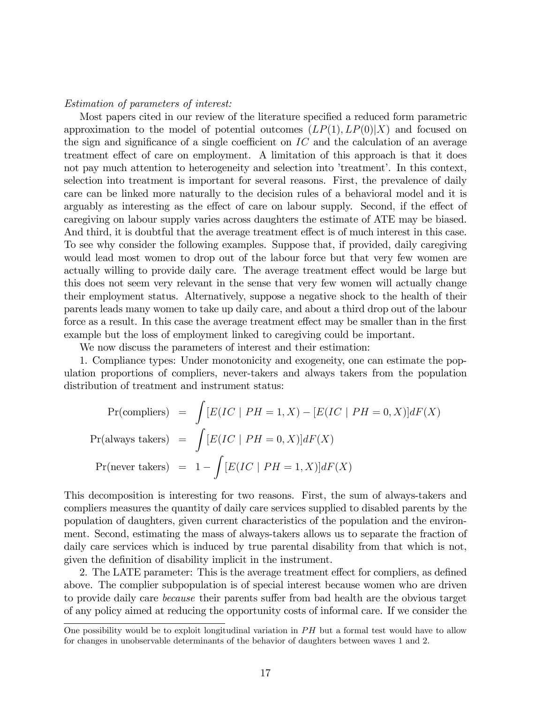#### Estimation of parameters of interest:

Most papers cited in our review of the literature specified a reduced form parametric approximation to the model of potential outcomes  $(LP(1), LP(0)|X)$  and focused on the sign and significance of a single coefficient on  $IC$  and the calculation of an average treatment effect of care on employment. A limitation of this approach is that it does not pay much attention to heterogeneity and selection into 'treatment'. In this context, selection into treatment is important for several reasons. First, the prevalence of daily care can be linked more naturally to the decision rules of a behavioral model and it is arguably as interesting as the effect of care on labour supply. Second, if the effect of caregiving on labour supply varies across daughters the estimate of ATE may be biased. And third, it is doubtful that the average treatment effect is of much interest in this case. To see why consider the following examples. Suppose that, if provided, daily caregiving would lead most women to drop out of the labour force but that very few women are actually willing to provide daily care. The average treatment effect would be large but this does not seem very relevant in the sense that very few women will actually change their employment status. Alternatively, suppose a negative shock to the health of their parents leads many women to take up daily care, and about a third drop out of the labour force as a result. In this case the average treatment effect may be smaller than in the first example but the loss of employment linked to caregiving could be important.

We now discuss the parameters of interest and their estimation:

1. Compliance types: Under monotonicity and exogeneity, one can estimate the population proportions of compliers, never-takers and always takers from the population distribution of treatment and instrument status:

$$
\Pr(\text{compliers}) = \int [E(IC \mid PH = 1, X) - [E(IC \mid PH = 0, X)]dF(X)
$$
\n
$$
\Pr(\text{always takes}) = \int [E(IC \mid PH = 0, X)]dF(X)
$$
\n
$$
\Pr(\text{never takes}) = 1 - \int [E(IC \mid PH = 1, X)]dF(X)
$$

This decomposition is interesting for two reasons. First, the sum of always-takers and compliers measures the quantity of daily care services supplied to disabled parents by the population of daughters, given current characteristics of the population and the environment. Second, estimating the mass of always-takers allows us to separate the fraction of daily care services which is induced by true parental disability from that which is not, given the definition of disability implicit in the instrument.

2. The LATE parameter: This is the average treatment effect for compliers, as defined above. The complier subpopulation is of special interest because women who are driven to provide daily care *because* their parents suffer from bad health are the obvious target of any policy aimed at reducing the opportunity costs of informal care. If we consider the

One possibility would be to exploit longitudinal variation in  $PH$  but a formal test would have to allow for changes in unobservable determinants of the behavior of daughters between waves 1 and 2.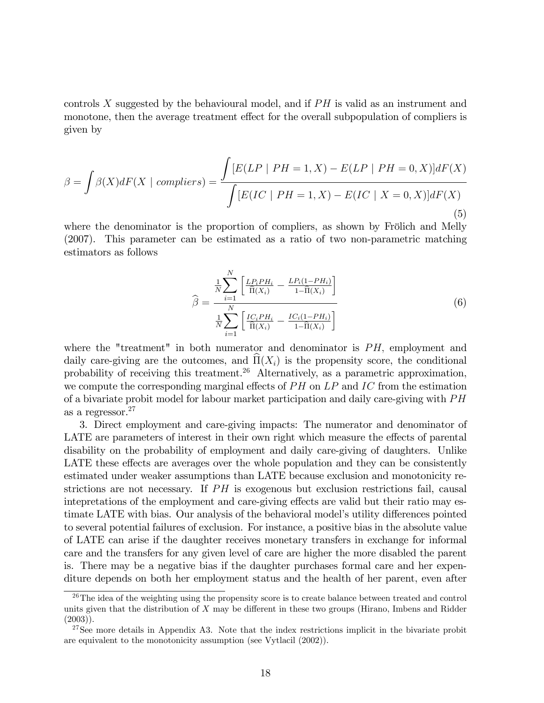controls X suggested by the behavioural model, and if  $PH$  is valid as an instrument and monotone, then the average treatment effect for the overall subpopulation of compliers is given by

$$
\beta = \int \beta(X)dF(X \mid compilers) = \frac{\int [E(LP \mid PH = 1, X) - E(LP \mid PH = 0, X)]dF(X)}{\int [E(IC \mid PH = 1, X) - E(IC \mid X = 0, X)]dF(X)}
$$
\n(5)

where the denominator is the proportion of compliers, as shown by Frölich and Melly (2007). This parameter can be estimated as a ratio of two non-parametric matching estimators as follows

$$
\hat{\beta} = \frac{\frac{1}{N} \sum_{i=1}^{N} \left[ \frac{LP_i P H_i}{\hat{\Pi}(X_i)} - \frac{LP_i (1 - PH_i)}{1 - \hat{\Pi}(X_i)} \right]}{\frac{1}{N} \sum_{i=1}^{N} \left[ \frac{IC_i P H_i}{\hat{\Pi}(X_i)} - \frac{IC_i (1 - PH_i)}{1 - \hat{\Pi}(X_i)} \right]}
$$
(6)

where the "treatment" in both numerator and denominator is  $PH$ , employment and daily care-giving are the outcomes, and  $\Pi(X_i)$  is the propensity score, the conditional probability of receiving this treatment.<sup>26</sup> Alternatively, as a parametric approximation, we compute the corresponding marginal effects of  $PH$  on  $LP$  and  $IC$  from the estimation of a bivariate probit model for labour market participation and daily care-giving with  $PH$ as a regressor.<sup>27</sup>

3. Direct employment and care-giving impacts: The numerator and denominator of LATE are parameters of interest in their own right which measure the effects of parental disability on the probability of employment and daily care-giving of daughters. Unlike LATE these effects are averages over the whole population and they can be consistently estimated under weaker assumptions than LATE because exclusion and monotonicity restrictions are not necessary. If  $PH$  is exogenous but exclusion restrictions fail, causal intepretations of the employment and care-giving effects are valid but their ratio may estimate LATE with bias. Our analysis of the behavioral model's utility differences pointed to several potential failures of exclusion. For instance, a positive bias in the absolute value of LATE can arise if the daughter receives monetary transfers in exchange for informal care and the transfers for any given level of care are higher the more disabled the parent is. There may be a negative bias if the daughter purchases formal care and her expenditure depends on both her employment status and the health of her parent, even after

<sup>&</sup>lt;sup>26</sup>The idea of the weighting using the propensity score is to create balance between treated and control units given that the distribution of  $X$  may be different in these two groups (Hirano, Imbens and Ridder  $(2003)$ .

 $27$ See more details in Appendix A3. Note that the index restrictions implicit in the bivariate probit are equivalent to the monotonicity assumption (see Vytlacil (2002)).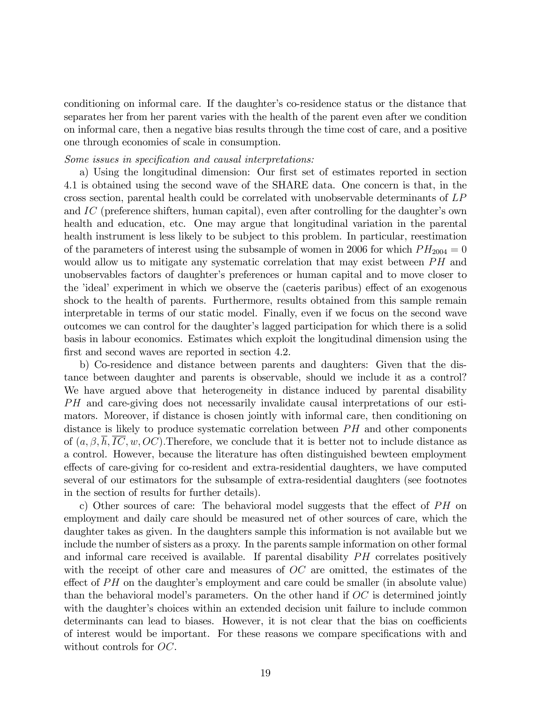conditioning on informal care. If the daughter's co-residence status or the distance that separates her from her parent varies with the health of the parent even after we condition on informal care, then a negative bias results through the time cost of care, and a positive one through economies of scale in consumption.

#### Some issues in specification and causal interpretations:

a) Using the longitudinal dimension: Our first set of estimates reported in section 4.1 is obtained using the second wave of the SHARE data. One concern is that, in the cross section, parental health could be correlated with unobservable determinants of LP and  $IC$  (preference shifters, human capital), even after controlling for the daughter's own health and education, etc. One may argue that longitudinal variation in the parental health instrument is less likely to be subject to this problem. In particular, reestimation of the parameters of interest using the subsample of women in 2006 for which  $PH_{2004} = 0$ would allow us to mitigate any systematic correlation that may exist between  $PH$  and unobservables factors of daughter's preferences or human capital and to move closer to the 'ideal' experiment in which we observe the (caeteris paribus) effect of an exogenous shock to the health of parents. Furthermore, results obtained from this sample remain interpretable in terms of our static model. Finally, even if we focus on the second wave outcomes we can control for the daughter's lagged participation for which there is a solid basis in labour economics. Estimates which exploit the longitudinal dimension using the first and second waves are reported in section 4.2.

b) Co-residence and distance between parents and daughters: Given that the distance between daughter and parents is observable, should we include it as a control? We have argued above that heterogeneity in distance induced by parental disability PH and care-giving does not necessarily invalidate causal interpretations of our estimators. Moreover, if distance is chosen jointly with informal care, then conditioning on distance is likely to produce systematic correlation between  $PH$  and other components of  $(a, \beta, h, IC, w, OC)$ . Therefore, we conclude that it is better not to include distance as a control. However, because the literature has often distinguished bewteen employment effects of care-giving for co-resident and extra-residential daughters, we have computed several of our estimators for the subsample of extra-residential daughters (see footnotes in the section of results for further details).

c) Other sources of care: The behavioral model suggests that the effect of  $PH$  on employment and daily care should be measured net of other sources of care, which the daughter takes as given. In the daughters sample this information is not available but we include the number of sisters as a proxy. In the parents sample information on other formal and informal care received is available. If parental disability  $PH$  correlates positively with the receipt of other care and measures of OC are omitted, the estimates of the effect of  $PH$  on the daughter's employment and care could be smaller (in absolute value) than the behavioral model's parameters. On the other hand if  $OC$  is determined jointly with the daughter's choices within an extended decision unit failure to include common determinants can lead to biases. However, it is not clear that the bias on coefficients of interest would be important. For these reasons we compare specifications with and without controls for  $OC$ .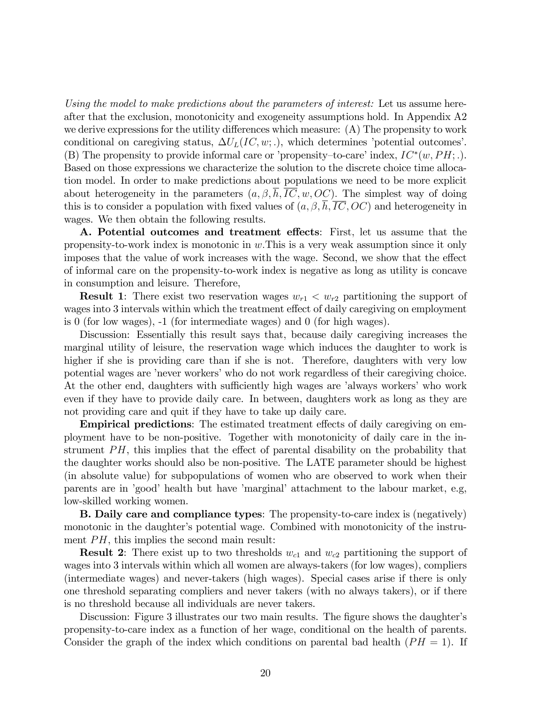Using the model to make predictions about the parameters of interest: Let us assume hereafter that the exclusion, monotonicity and exogeneity assumptions hold. In Appendix A2 we derive expressions for the utility differences which measure:  $(A)$  The propensity to work conditional on caregiving status,  $\Delta U_L(IC, w; .)$ , which determines 'potential outcomes'. (B) The propensity to provide informal care or 'propensity-to-care' index,  $IC^*(w, PH; .)$ . Based on those expressions we characterize the solution to the discrete choice time allocation model. In order to make predictions about populations we need to be more explicit about heterogeneity in the parameters  $(a, \beta, h, \overline{IC}, w, OC)$ . The simplest way of doing this is to consider a population with fixed values of  $(a, \beta, \overline{h}, \overline{IC}, OC)$  and heterogeneity in wages. We then obtain the following results.

A. Potential outcomes and treatment effects: First, let us assume that the propensity-to-work index is monotonic in  $w$ . This is a very weak assumption since it only imposes that the value of work increases with the wage. Second, we show that the effect of informal care on the propensity-to-work index is negative as long as utility is concave in consumption and leisure. Therefore,

**Result 1**: There exist two reservation wages  $w_{r1} < w_{r2}$  partitioning the support of wages into 3 intervals within which the treatment effect of daily caregiving on employment is 0 (for low wages), -1 (for intermediate wages) and 0 (for high wages).

Discussion: Essentially this result says that, because daily caregiving increases the marginal utility of leisure, the reservation wage which induces the daughter to work is higher if she is providing care than if she is not. Therefore, daughters with very low potential wages are ínever workersíwho do not work regardless of their caregiving choice. At the other end, daughters with sufficiently high wages are 'always workers' who work even if they have to provide daily care. In between, daughters work as long as they are not providing care and quit if they have to take up daily care.

**Empirical predictions**: The estimated treatment effects of daily caregiving on employment have to be non-positive. Together with monotonicity of daily care in the instrument  $PH$ , this implies that the effect of parental disability on the probability that the daughter works should also be non-positive. The LATE parameter should be highest (in absolute value) for subpopulations of women who are observed to work when their parents are in 'good' health but have 'marginal' attachment to the labour market, e.g, low-skilled working women.

B. Daily care and compliance types: The propensity-to-care index is (negatively) monotonic in the daughter's potential wage. Combined with monotonicity of the instrument  $PH$ , this implies the second main result:

**Result 2:** There exist up to two thresholds  $w_{c1}$  and  $w_{c2}$  partitioning the support of wages into 3 intervals within which all women are always-takers (for low wages), compliers (intermediate wages) and never-takers (high wages). Special cases arise if there is only one threshold separating compliers and never takers (with no always takers), or if there is no threshold because all individuals are never takers.

Discussion: Figure 3 illustrates our two main results. The figure shows the daughter's propensity-to-care index as a function of her wage, conditional on the health of parents. Consider the graph of the index which conditions on parental bad health  $(PH = 1)$ . If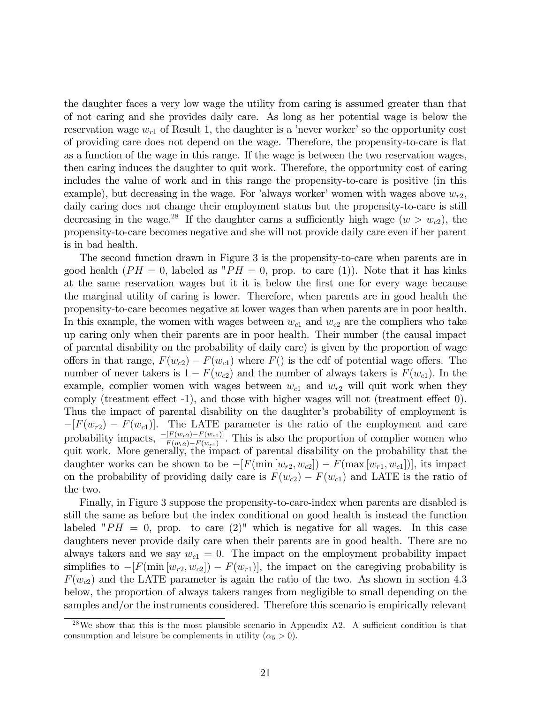the daughter faces a very low wage the utility from caring is assumed greater than that of not caring and she provides daily care. As long as her potential wage is below the reservation wage  $w_{r1}$  of Result 1, the daughter is a 'never worker' so the opportunity cost of providing care does not depend on the wage. Therefore, the propensity-to-care is flat as a function of the wage in this range. If the wage is between the two reservation wages, then caring induces the daughter to quit work. Therefore, the opportunity cost of caring includes the value of work and in this range the propensity-to-care is positive (in this example), but decreasing in the wage. For 'always worker' women with wages above  $w_{r2}$ , daily caring does not change their employment status but the propensity-to-care is still decreasing in the wage.<sup>28</sup> If the daughter earns a sufficiently high wage  $(w > w_{c2})$ , the propensity-to-care becomes negative and she will not provide daily care even if her parent is in bad health.

The second function drawn in Figure 3 is the propensity-to-care when parents are in good health  $(PH = 0$ , labeled as " $PH = 0$ , prop. to care (1)). Note that it has kinks at the same reservation wages but it it is below the first one for every wage because the marginal utility of caring is lower. Therefore, when parents are in good health the propensity-to-care becomes negative at lower wages than when parents are in poor health. In this example, the women with wages between  $w_{c1}$  and  $w_{c2}$  are the compliers who take up caring only when their parents are in poor health. Their number (the causal impact of parental disability on the probability of daily care) is given by the proportion of wage offers in that range,  $F(w_{c2}) - F(w_{c1})$  where  $F()$  is the cdf of potential wage offers. The number of never takers is  $1 - F(w_{c2})$  and the number of always takers is  $F(w_{c1})$ . In the example, complier women with wages between  $w_{c1}$  and  $w_{r2}$  will quit work when they comply (treatment effect  $-1$ ), and those with higher wages will not (treatment effect  $0$ ). Thus the impact of parental disability on the daughter's probability of employment is  $-[F(w_{r2}) - F(w_{c1})]$ . The LATE parameter is the ratio of the employment and care probability impacts,  $\frac{-[F(w_{r2})-F(w_{c1})]}{F(w_{c2})-F(w_{c1})}$ . This is also the proportion of complier women who quit work. More generally, the impact of parental disability on the probability that the daughter works can be shown to be  $-[F(\min [w_{r2}, w_{c2}]) - F(\max [w_{r1}, w_{c1}])]$ , its impact on the probability of providing daily care is  $F(w_{c2}) - F(w_{c1})$  and LATE is the ratio of the two.

Finally, in Figure 3 suppose the propensity-to-care-index when parents are disabled is still the same as before but the index conditional on good health is instead the function labeled " $PH = 0$ , prop. to care (2)" which is negative for all wages. In this case daughters never provide daily care when their parents are in good health. There are no always takers and we say  $w_{c1} = 0$ . The impact on the employment probability impact simplifies to  $-[F(\min [w_{r2}, w_{c2}]) - F(w_{r1})]$ , the impact on the caregiving probability is  $F(w_{c2})$  and the LATE parameter is again the ratio of the two. As shown in section 4.3 below, the proportion of always takers ranges from negligible to small depending on the samples and/or the instruments considered. Therefore this scenario is empirically relevant

 $28\text{We show that this is the most plausible scenario in Appendix A2. A sufficient condition is that}$ consumption and leisure be complements in utility  $(\alpha_5 > 0)$ .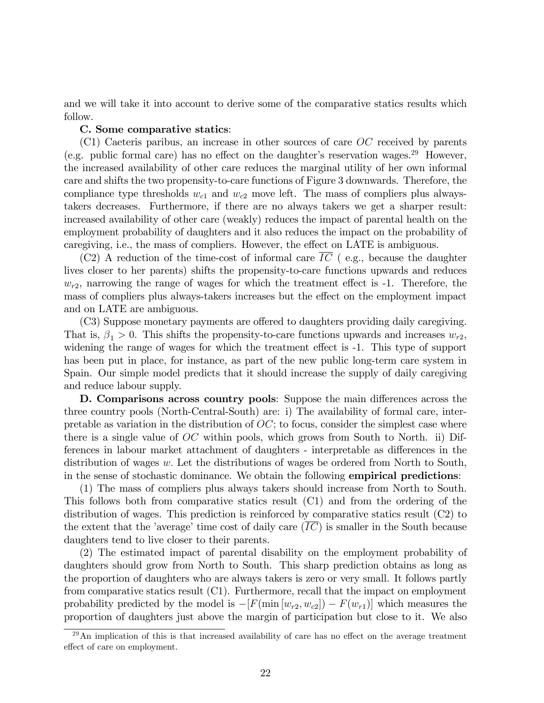and we will take it into account to derive some of the comparative statics results which follow.

#### C. Some comparative statics:

(C1) Caeteris paribus, an increase in other sources of care OC received by parents (e.g. public formal care) has no effect on the daughter's reservation wages.<sup>29</sup> However, the increased availability of other care reduces the marginal utility of her own informal care and shifts the two propensity-to-care functions of Figure 3 downwards. Therefore, the compliance type thresholds  $w_{c1}$  and  $w_{c2}$  move left. The mass of compliers plus alwaystakers decreases. Furthermore, if there are no always takers we get a sharper result: increased availability of other care (weakly) reduces the impact of parental health on the employment probability of daughters and it also reduces the impact on the probability of caregiving, i.e., the mass of compliers. However, the effect on LATE is ambiguous.

(C2) A reduction of the time-cost of informal care  $\overline{IC}$  (e.g., because the daughter lives closer to her parents) shifts the propensity-to-care functions upwards and reduces  $w_{r2}$ , narrowing the range of wages for which the treatment effect is -1. Therefore, the mass of compliers plus always-takers increases but the effect on the employment impact and on LATE are ambiguous.

(C3) Suppose monetary payments are offered to daughters providing daily caregiving. That is,  $\beta_1 > 0$ . This shifts the propensity-to-care functions upwards and increases  $w_{r2}$ , widening the range of wages for which the treatment effect is  $-1$ . This type of support has been put in place, for instance, as part of the new public long-term care system in Spain. Our simple model predicts that it should increase the supply of daily caregiving and reduce labour supply.

**D. Comparisons across country pools**: Suppose the main differences across the three country pools (North-Central-South) are: i) The availability of formal care, interpretable as variation in the distribution of  $OC$ ; to focus, consider the simplest case where there is a single value of  $OC$  within pools, which grows from South to North. ii) Differences in labour market attachment of daughters - interpretable as differences in the distribution of wages w. Let the distributions of wages be ordered from North to South, in the sense of stochastic dominance. We obtain the following empirical predictions:

(1) The mass of compliers plus always takers should increase from North to South. This follows both from comparative statics result (C1) and from the ordering of the distribution of wages. This prediction is reinforced by comparative statics result (C2) to the extent that the 'average' time cost of daily care  $(IC)$  is smaller in the South because daughters tend to live closer to their parents.

(2) The estimated impact of parental disability on the employment probability of daughters should grow from North to South. This sharp prediction obtains as long as the proportion of daughters who are always takers is zero or very small. It follows partly from comparative statics result (C1). Furthermore, recall that the impact on employment probability predicted by the model is  $-[F(\min [w_{r2}, w_{c2}]) - F(w_{r1})]$  which measures the proportion of daughters just above the margin of participation but close to it. We also

 $29$ An implication of this is that increased availability of care has no effect on the average treatment effect of care on employment.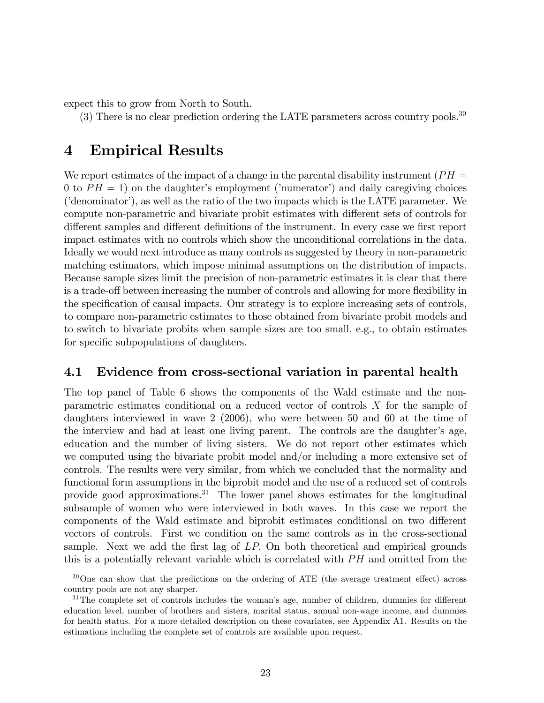expect this to grow from North to South.

(3) There is no clear prediction ordering the LATE parameters across country pools.<sup>30</sup>

## 4 Empirical Results

We report estimates of the impact of a change in the parental disability instrument ( $PH =$ 0 to  $PH = 1$ ) on the daughter's employment ('numerator') and daily caregiving choices  $($ 'denominator'), as well as the ratio of the two impacts which is the LATE parameter. We compute non-parametric and bivariate probit estimates with different sets of controls for different samples and different definitions of the instrument. In every case we first report impact estimates with no controls which show the unconditional correlations in the data. Ideally we would next introduce as many controls as suggested by theory in non-parametric matching estimators, which impose minimal assumptions on the distribution of impacts. Because sample sizes limit the precision of non-parametric estimates it is clear that there is a trade-off between increasing the number of controls and allowing for more flexibility in the specification of causal impacts. Our strategy is to explore increasing sets of controls, to compare non-parametric estimates to those obtained from bivariate probit models and to switch to bivariate probits when sample sizes are too small, e.g., to obtain estimates for specific subpopulations of daughters.

### 4.1 Evidence from cross-sectional variation in parental health

The top panel of Table 6 shows the components of the Wald estimate and the nonparametric estimates conditional on a reduced vector of controls X for the sample of daughters interviewed in wave 2 (2006), who were between 50 and 60 at the time of the interview and had at least one living parent. The controls are the daughter's age, education and the number of living sisters. We do not report other estimates which we computed using the bivariate probit model and/or including a more extensive set of controls. The results were very similar, from which we concluded that the normality and functional form assumptions in the biprobit model and the use of a reduced set of controls provide good approximations.<sup>31</sup> The lower panel shows estimates for the longitudinal subsample of women who were interviewed in both waves. In this case we report the components of the Wald estimate and biprobit estimates conditional on two different vectors of controls. First we condition on the same controls as in the cross-sectional sample. Next we add the first lag of  $LP$ . On both theoretical and empirical grounds this is a potentially relevant variable which is correlated with  $PH$  and omitted from the

 $30$ One can show that the predictions on the ordering of ATE (the average treatment effect) across country pools are not any sharper.

 $31$ The complete set of controls includes the woman's age, number of children, dummies for different education level, number of brothers and sisters, marital status, annual non-wage income, and dummies for health status. For a more detailed description on these covariates, see Appendix A1. Results on the estimations including the complete set of controls are available upon request.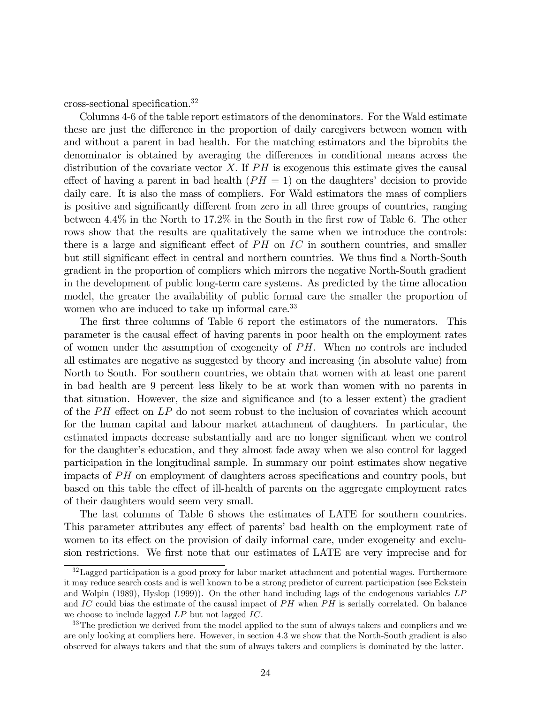cross-sectional specification.<sup>32</sup>

Columns 4-6 of the table report estimators of the denominators. For the Wald estimate these are just the difference in the proportion of daily caregivers between women with and without a parent in bad health. For the matching estimators and the biprobits the denominator is obtained by averaging the differences in conditional means across the distribution of the covariate vector X. If  $PH$  is exogenous this estimate gives the causal effect of having a parent in bad health  $(PH = 1)$  on the daughters' decision to provide daily care. It is also the mass of compliers. For Wald estimators the mass of compliers is positive and significantly different from zero in all three groups of countries, ranging between  $4.4\%$  in the North to 17.2% in the South in the first row of Table 6. The other rows show that the results are qualitatively the same when we introduce the controls: there is a large and significant effect of  $PH$  on  $IC$  in southern countries, and smaller but still significant effect in central and northern countries. We thus find a North-South gradient in the proportion of compliers which mirrors the negative North-South gradient in the development of public long-term care systems. As predicted by the time allocation model, the greater the availability of public formal care the smaller the proportion of women who are induced to take up informal care.<sup>33</sup>

The first three columns of Table 6 report the estimators of the numerators. This parameter is the causal effect of having parents in poor health on the employment rates of women under the assumption of exogeneity of  $PH$ . When no controls are included all estimates are negative as suggested by theory and increasing (in absolute value) from North to South. For southern countries, we obtain that women with at least one parent in bad health are 9 percent less likely to be at work than women with no parents in that situation. However, the size and significance and (to a lesser extent) the gradient of the  $PH$  effect on  $LP$  do not seem robust to the inclusion of covariates which account for the human capital and labour market attachment of daughters. In particular, the estimated impacts decrease substantially and are no longer significant when we control for the daughter's education, and they almost fade away when we also control for lagged participation in the longitudinal sample. In summary our point estimates show negative impacts of  $PH$  on employment of daughters across specifications and country pools, but based on this table the effect of ill-health of parents on the aggregate employment rates of their daughters would seem very small.

The last columns of Table 6 shows the estimates of LATE for southern countries. This parameter attributes any effect of parents' bad health on the employment rate of women to its effect on the provision of daily informal care, under exogeneity and exclusion restrictions. We first note that our estimates of LATE are very imprecise and for

<sup>&</sup>lt;sup>32</sup>Lagged participation is a good proxy for labor market attachment and potential wages. Furthermore it may reduce search costs and is well known to be a strong predictor of current participation (see Eckstein and Wolpin (1989), Hyslop (1999)). On the other hand including lags of the endogenous variables LP and IC could bias the estimate of the causal impact of  $PH$  when  $PH$  is serially correlated. On balance we choose to include lagged LP but not lagged IC.

<sup>&</sup>lt;sup>33</sup>The prediction we derived from the model applied to the sum of always takers and compliers and we are only looking at compliers here. However, in section 4.3 we show that the North-South gradient is also observed for always takers and that the sum of always takers and compliers is dominated by the latter.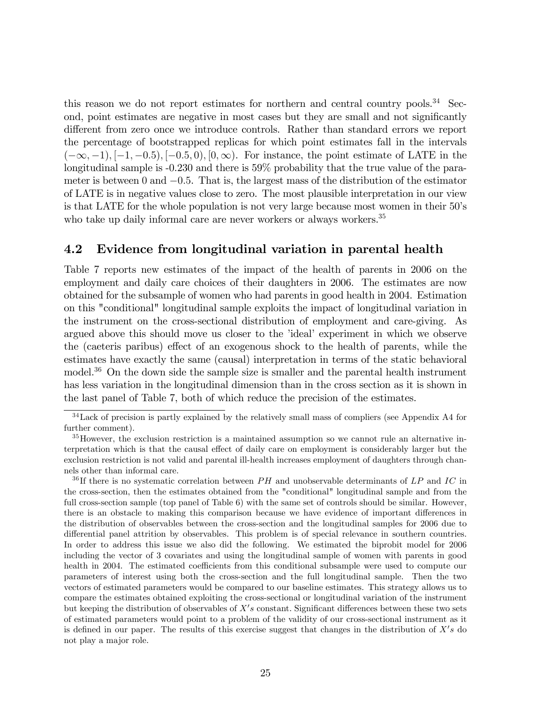this reason we do not report estimates for northern and central country pools.<sup>34</sup> Second, point estimates are negative in most cases but they are small and not significantly different from zero once we introduce controls. Rather than standard errors we report the percentage of bootstrapped replicas for which point estimates fall in the intervals  $(-\infty, -1), [-1, -0.5), [-0.5, 0), [0, \infty)$ . For instance, the point estimate of LATE in the longitudinal sample is -0.230 and there is 59% probability that the true value of the parameter is between 0 and  $-0.5$ . That is, the largest mass of the distribution of the estimator of LATE is in negative values close to zero. The most plausible interpretation in our view is that LATE for the whole population is not very large because most women in their 50ís who take up daily informal care are never workers or always workers.<sup>35</sup>

### 4.2 Evidence from longitudinal variation in parental health

Table 7 reports new estimates of the impact of the health of parents in 2006 on the employment and daily care choices of their daughters in 2006. The estimates are now obtained for the subsample of women who had parents in good health in 2004. Estimation on this "conditional" longitudinal sample exploits the impact of longitudinal variation in the instrument on the cross-sectional distribution of employment and care-giving. As argued above this should move us closer to the 'ideal' experiment in which we observe the (caeteris paribus) effect of an exogenous shock to the health of parents, while the estimates have exactly the same (causal) interpretation in terms of the static behavioral model.<sup>36</sup> On the down side the sample size is smaller and the parental health instrument has less variation in the longitudinal dimension than in the cross section as it is shown in the last panel of Table 7, both of which reduce the precision of the estimates.

 $34$  Lack of precision is partly explained by the relatively small mass of compliers (see Appendix A4 for further comment).

<sup>35</sup>However, the exclusion restriction is a maintained assumption so we cannot rule an alternative interpretation which is that the causal effect of daily care on employment is considerably larger but the exclusion restriction is not valid and parental ill-health increases employment of daughters through channels other than informal care.

<sup>&</sup>lt;sup>36</sup>If there is no systematic correlation between  $PH$  and unobservable determinants of  $LP$  and  $IC$  in the cross-section, then the estimates obtained from the "conditional" longitudinal sample and from the full cross-section sample (top panel of Table 6) with the same set of controls should be similar. However, there is an obstacle to making this comparison because we have evidence of important differences in the distribution of observables between the cross-section and the longitudinal samples for 2006 due to differential panel attrition by observables. This problem is of special relevance in southern countries. In order to address this issue we also did the following. We estimated the biprobit model for 2006 including the vector of 3 covariates and using the longitudinal sample of women with parents in good health in 2004. The estimated coefficients from this conditional subsample were used to compute our parameters of interest using both the cross-section and the full longitudinal sample. Then the two vectors of estimated parameters would be compared to our baseline estimates. This strategy allows us to compare the estimates obtained exploiting the cross-sectional or longitudinal variation of the instrument but keeping the distribution of observables of  $X's$  constant. Significant differences between these two sets of estimated parameters would point to a problem of the validity of our cross-sectional instrument as it is defined in our paper. The results of this exercise suggest that changes in the distribution of  $X's$  do not play a major role.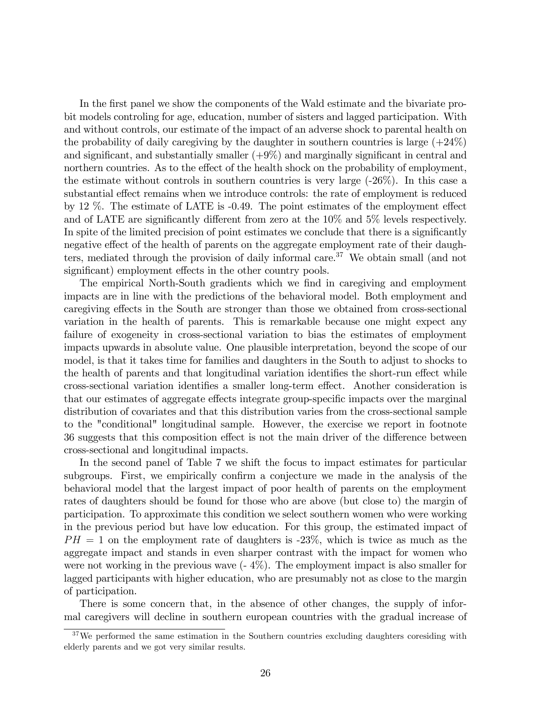In the first panel we show the components of the Wald estimate and the bivariate probit models controling for age, education, number of sisters and lagged participation. With and without controls, our estimate of the impact of an adverse shock to parental health on the probability of daily caregiving by the daughter in southern countries is large  $(+24%)$ and significant, and substantially smaller  $(+9\%)$  and marginally significant in central and northern countries. As to the effect of the health shock on the probability of employment, the estimate without controls in southern countries is very large (-26%). In this case a substantial effect remains when we introduce controls: the rate of employment is reduced by 12  $\%$ . The estimate of LATE is  $-0.49$ . The point estimates of the employment effect and of LATE are significantly different from zero at the  $10\%$  and  $5\%$  levels respectively. In spite of the limited precision of point estimates we conclude that there is a significantly negative effect of the health of parents on the aggregate employment rate of their daughters, mediated through the provision of daily informal care.<sup>37</sup> We obtain small (and not significant) employment effects in the other country pools.

The empirical North-South gradients which we find in caregiving and employment impacts are in line with the predictions of the behavioral model. Both employment and caregiving effects in the South are stronger than those we obtained from cross-sectional variation in the health of parents. This is remarkable because one might expect any failure of exogeneity in cross-sectional variation to bias the estimates of employment impacts upwards in absolute value. One plausible interpretation, beyond the scope of our model, is that it takes time for families and daughters in the South to adjust to shocks to the health of parents and that longitudinal variation identifies the short-run effect while cross-sectional variation identifies a smaller long-term effect. Another consideration is that our estimates of aggregate effects integrate group-specific impacts over the marginal distribution of covariates and that this distribution varies from the cross-sectional sample to the "conditional" longitudinal sample. However, the exercise we report in footnote 36 suggests that this composition effect is not the main driver of the difference between cross-sectional and longitudinal impacts.

In the second panel of Table 7 we shift the focus to impact estimates for particular subgroups. First, we empirically confirm a conjecture we made in the analysis of the behavioral model that the largest impact of poor health of parents on the employment rates of daughters should be found for those who are above (but close to) the margin of participation. To approximate this condition we select southern women who were working in the previous period but have low education. For this group, the estimated impact of  $PH = 1$  on the employment rate of daughters is  $-23\%$ , which is twice as much as the aggregate impact and stands in even sharper contrast with the impact for women who were not working in the previous wave (- 4%). The employment impact is also smaller for lagged participants with higher education, who are presumably not as close to the margin of participation.

There is some concern that, in the absence of other changes, the supply of informal caregivers will decline in southern european countries with the gradual increase of

<sup>&</sup>lt;sup>37</sup>We performed the same estimation in the Southern countries excluding daughters coresiding with elderly parents and we got very similar results.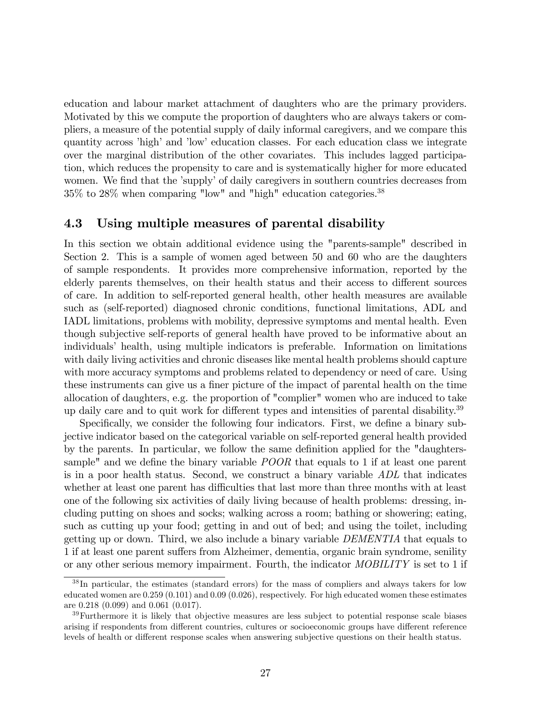education and labour market attachment of daughters who are the primary providers. Motivated by this we compute the proportion of daughters who are always takers or compliers, a measure of the potential supply of daily informal caregivers, and we compare this quantity across 'high' and 'low' education classes. For each education class we integrate over the marginal distribution of the other covariates. This includes lagged participation, which reduces the propensity to care and is systematically higher for more educated women. We find that the 'supply' of daily caregivers in southern countries decreases from 35% to 28% when comparing "low" and "high" education categories.<sup>38</sup>

### 4.3 Using multiple measures of parental disability

In this section we obtain additional evidence using the "parents-sample" described in Section 2. This is a sample of women aged between 50 and 60 who are the daughters of sample respondents. It provides more comprehensive information, reported by the elderly parents themselves, on their health status and their access to different sources of care. In addition to self-reported general health, other health measures are available such as (self-reported) diagnosed chronic conditions, functional limitations, ADL and IADL limitations, problems with mobility, depressive symptoms and mental health. Even though subjective self-reports of general health have proved to be informative about an individualsí health, using multiple indicators is preferable. Information on limitations with daily living activities and chronic diseases like mental health problems should capture with more accuracy symptoms and problems related to dependency or need of care. Using these instruments can give us a finer picture of the impact of parental health on the time allocation of daughters, e.g. the proportion of "complier" women who are induced to take up daily care and to quit work for different types and intensities of parental disability.<sup>39</sup>

Specifically, we consider the following four indicators. First, we define a binary subjective indicator based on the categorical variable on self-reported general health provided by the parents. In particular, we follow the same definition applied for the "daughterssample" and we define the binary variable  $POOR$  that equals to 1 if at least one parent is in a poor health status. Second, we construct a binary variable ADL that indicates whether at least one parent has difficulties that last more than three months with at least one of the following six activities of daily living because of health problems: dressing, including putting on shoes and socks; walking across a room; bathing or showering; eating, such as cutting up your food; getting in and out of bed; and using the toilet, including getting up or down. Third, we also include a binary variable DEMENTIA that equals to 1 if at least one parent suffers from Alzheimer, dementia, organic brain syndrome, senility or any other serious memory impairment. Fourth, the indicator MOBILITY is set to 1 if

<sup>38</sup> In particular, the estimates (standard errors) for the mass of compliers and always takers for low educated women are 0.259 (0.101) and 0.09 (0.026), respectively. For high educated women these estimates are 0.218 (0.099) and 0.061 (0.017).

<sup>39</sup>Furthermore it is likely that objective measures are less subject to potential response scale biases arising if respondents from different countries, cultures or socioeconomic groups have different reference levels of health or different response scales when answering subjective questions on their health status.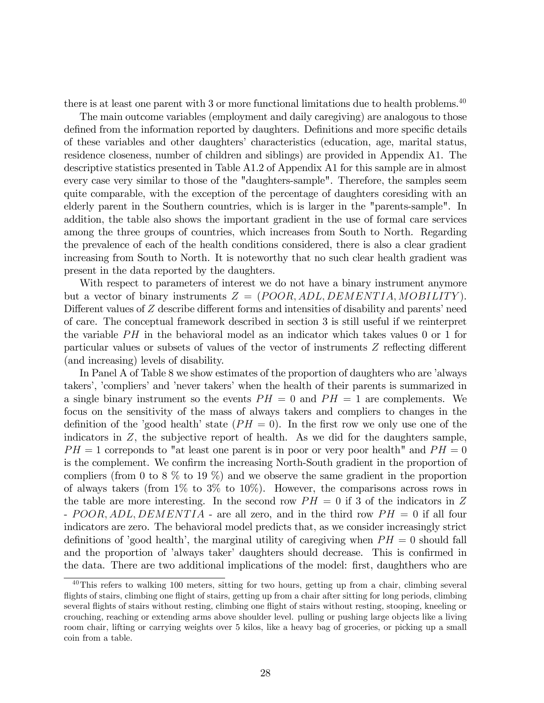there is at least one parent with 3 or more functional limitations due to health problems.<sup>40</sup>

The main outcome variables (employment and daily caregiving) are analogous to those defined from the information reported by daughters. Definitions and more specific details of these variables and other daughters' characteristics (education, age, marital status, residence closeness, number of children and siblings) are provided in Appendix A1. The descriptive statistics presented in Table A1.2 of Appendix A1 for this sample are in almost every case very similar to those of the "daughters-sample". Therefore, the samples seem quite comparable, with the exception of the percentage of daughters coresiding with an elderly parent in the Southern countries, which is is larger in the "parents-sample". In addition, the table also shows the important gradient in the use of formal care services among the three groups of countries, which increases from South to North. Regarding the prevalence of each of the health conditions considered, there is also a clear gradient increasing from South to North. It is noteworthy that no such clear health gradient was present in the data reported by the daughters.

With respect to parameters of interest we do not have a binary instrument anymore but a vector of binary instruments  $Z = (POOR, ADL, DEMENTIA, MOBILITY)$ . Different values of  $Z$  describe different forms and intensities of disability and parents' need of care. The conceptual framework described in section 3 is still useful if we reinterpret the variable  $PH$  in the behavioral model as an indicator which takes values 0 or 1 for particular values or subsets of values of the vector of instruments  $Z$  reflecting different (and increasing) levels of disability.

In Panel A of Table 8 we show estimates of the proportion of daughters who are 'always takers', 'compliers' and 'never takers' when the health of their parents is summarized in a single binary instrument so the events  $PH = 0$  and  $PH = 1$  are complements. We focus on the sensitivity of the mass of always takers and compliers to changes in the definition of the 'good health' state  $(PH = 0)$ . In the first row we only use one of the indicators in  $Z$ , the subjective report of health. As we did for the daughters sample,  $PH = 1$  corresponds to "at least one parent is in poor or very poor health" and  $PH = 0$ is the complement. We confirm the increasing North-South gradient in the proportion of compliers (from 0 to 8  $\%$  to 19  $\%$ ) and we observe the same gradient in the proportion of always takers (from  $1\%$  to  $3\%$  to  $10\%)$ ). However, the comparisons across rows in the table are more interesting. In the second row  $PH = 0$  if 3 of the indicators in Z - POOR, ADL, DEMENTIA - are all zero, and in the third row  $PH = 0$  if all four indicators are zero. The behavioral model predicts that, as we consider increasingly strict definitions of 'good health', the marginal utility of caregiving when  $PH = 0$  should fall and the proportion of 'always taker' daughters should decrease. This is confirmed in the data. There are two additional implications of the model: first, daughthers who are

 $40$ This refers to walking 100 meters, sitting for two hours, getting up from a chair, climbing several flights of stairs, climbing one flight of stairs, getting up from a chair after sitting for long periods, climbing several flights of stairs without resting, climbing one flight of stairs without resting, stooping, kneeling or crouching, reaching or extending arms above shoulder level. pulling or pushing large objects like a living room chair, lifting or carrying weights over 5 kilos, like a heavy bag of groceries, or picking up a small coin from a table.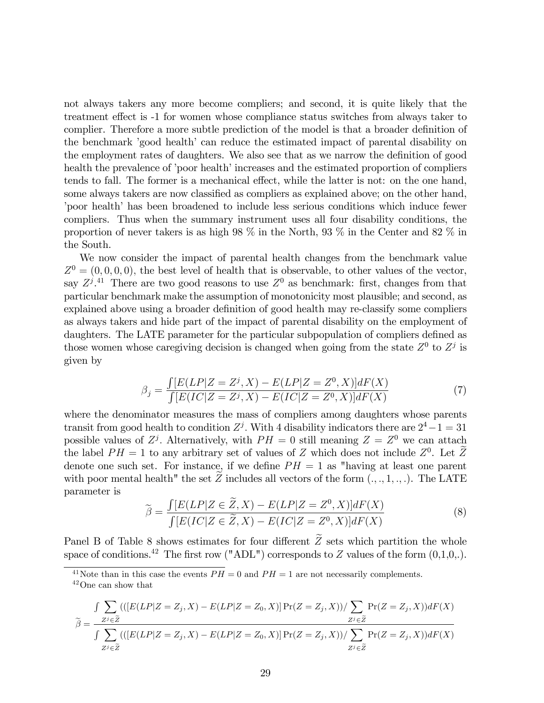not always takers any more become compliers; and second, it is quite likely that the treatment effect is  $-1$  for women whose compliance status switches from always taker to complier. Therefore a more subtle prediction of the model is that a broader definition of the benchmark 'good health' can reduce the estimated impact of parental disability on the employment rates of daughters. We also see that as we narrow the definition of good health the prevalence of 'poor health' increases and the estimated proportion of compliers tends to fall. The former is a mechanical effect, while the latter is not: on the one hand, some always takers are now classified as compliers as explained above; on the other hand, from health has been broadened to include less serious conditions which induce fewer compliers. Thus when the summary instrument uses all four disability conditions, the proportion of never takers is as high 98 % in the North, 93 % in the Center and 82 % in the South.

We now consider the impact of parental health changes from the benchmark value  $Z^0 = (0,0,0,0)$ , the best level of health that is observable, to other values of the vector, say  $Z^{j}$ .<sup>41</sup> There are two good reasons to use  $Z^{0}$  as benchmark: first, changes from that particular benchmark make the assumption of monotonicity most plausible; and second, as explained above using a broader definition of good health may re-classify some compliers as always takers and hide part of the impact of parental disability on the employment of daughters. The LATE parameter for the particular subpopulation of compliers defined as those women whose caregiving decision is changed when going from the state  $Z^0$  to  $Z^j$  is given by

$$
\beta_j = \frac{\int [E(LP|Z = Z^j, X) - E(LP|Z = Z^0, X)]dF(X)}{\int [E(IC|Z = Z^j, X) - E(IC|Z = Z^0, X)]dF(X)}\tag{7}
$$

where the denominator measures the mass of compliers among daughters whose parents transit from good health to condition  $Z^j$ . With 4 disability indicators there are  $2^4 - 1 = 31$ possible values of  $Z<sup>j</sup>$ . Alternatively, with  $PH = 0$  still meaning  $Z = Z<sup>0</sup>$  we can attach the label  $PH = 1$  to any arbitrary set of values of Z which does not include  $Z^0$ . Let  $\overline{Z}$ denote one such set. For instance, if we define  $PH = 1$  as "having at least one parent with poor mental health" the set  $\overline{Z}$  includes all vectors of the form  $(., ., 1, ., .)$ . The LATE parameter is

$$
\widetilde{\beta} = \frac{\int [E(LP|Z \in \widetilde{Z}, X) - E(LP|Z = Z^0, X)]dF(X)}{\int [E(IC|Z \in \widetilde{Z}, X) - E(IC|Z = Z^0, X)]dF(X)}\tag{8}
$$

Panel B of Table 8 shows estimates for four different  $\widetilde{Z}$  sets which partition the whole space of conditions.<sup>42</sup> The first row ("ADL") corresponds to Z values of the form  $(0,1,0,.)$ .

<sup>41</sup>Note than in this case the events  $\overline{PH} = 0$  and  $\overline{PH} = 1$  are not necessarily complements. <sup>42</sup>One can show that

$$
\widetilde{\beta} = \frac{\int \sum_{Z^j \in \widetilde{Z}} \left( \left( [E(LP|Z = Z_j, X) - E(LP|Z = Z_0, X) ] \Pr(Z = Z_j, X) \right) / \sum_{Z^j \in \widetilde{Z}} \Pr(Z = Z_j, X) \right) dF(X)}{\int \sum_{Z^j \in \widetilde{Z}} \left( \left( [E(LP|Z = Z_j, X) - E(LP|Z = Z_0, X) ] \Pr(Z = Z_j, X) \right) / \sum_{Z^j \in \widetilde{Z}} \Pr(Z = Z_j, X) \right) dF(X)}
$$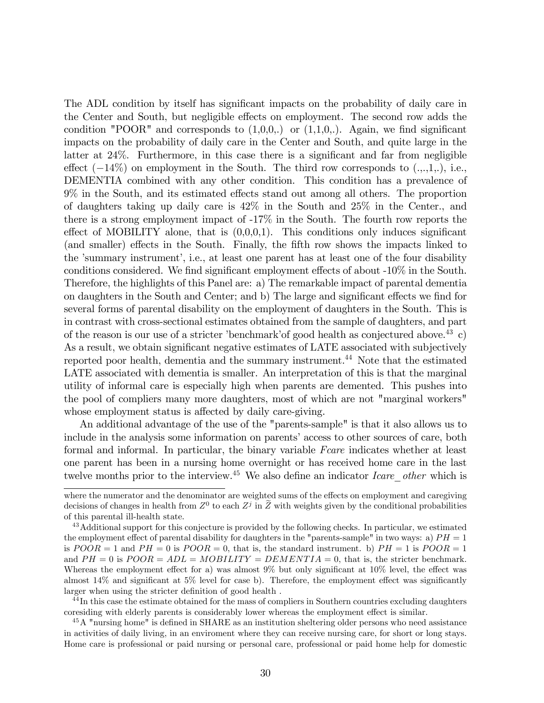The ADL condition by itself has significant impacts on the probability of daily care in the Center and South, but negligible effects on employment. The second row adds the condition "POOR" and corresponds to  $(1,0,0,.)$  or  $(1,1,0,.)$ . Again, we find significant impacts on the probability of daily care in the Center and South, and quite large in the latter at  $24\%$ . Furthermore, in this case there is a significant and far from negligible effect  $(-14\%)$  on employment in the South. The third row corresponds to  $(.,.,1.,), i.e.,$ DEMENTIA combined with any other condition. This condition has a prevalence of  $9\%$  in the South, and its estimated effects stand out among all others. The proportion of daughters taking up daily care is 42% in the South and 25% in the Center., and there is a strong employment impact of -17% in the South. The fourth row reports the effect of MOBILITY alone, that is  $(0,0,0,1)$ . This conditions only induces significant (and smaller) effects in the South. Finally, the fifth row shows the impacts linked to the 'summary instrument', i.e., at least one parent has at least one of the four disability conditions considered. We find significant employment effects of about  $-10\%$  in the South. Therefore, the highlights of this Panel are: a) The remarkable impact of parental dementia on daughters in the South and Center; and b) The large and significant effects we find for several forms of parental disability on the employment of daughters in the South. This is in contrast with cross-sectional estimates obtained from the sample of daughters, and part of the reason is our use of a stricter 'benchmark' of good health as conjectured above.<sup>43</sup> c) As a result, we obtain significant negative estimates of LATE associated with subjectively reported poor health, dementia and the summary instrument.<sup>44</sup> Note that the estimated LATE associated with dementia is smaller. An interpretation of this is that the marginal utility of informal care is especially high when parents are demented. This pushes into the pool of compliers many more daughters, most of which are not "marginal workers" whose employment status is affected by daily care-giving.

An additional advantage of the use of the "parents-sample" is that it also allows us to include in the analysis some information on parents' access to other sources of care, both formal and informal. In particular, the binary variable Fcare indicates whether at least one parent has been in a nursing home overnight or has received home care in the last twelve months prior to the interview.<sup>45</sup> We also define an indicator *Icare* other which is

<sup>44</sup>In this case the estimate obtained for the mass of compliers in Southern countries excluding daughters coresiding with elderly parents is considerably lower whereas the employment effect is similar.

 $^{45}$ A "nursing home" is defined in SHARE as an institution sheltering older persons who need assistance in activities of daily living, in an enviroment where they can receive nursing care, for short or long stays. Home care is professional or paid nursing or personal care, professional or paid home help for domestic

where the numerator and the denominator are weighted sums of the effects on employment and caregiving decisions of changes in health from  $Z^0$  to each  $Z^j$  in  $\overline{Z}$  with weights given by the conditional probabilities of this parental ill-health state.

<sup>&</sup>lt;sup>43</sup> Additional support for this conjecture is provided by the following checks. In particular, we estimated the employment effect of parental disability for daughters in the "parents-sample" in two ways: a)  $PH = 1$ is  $POOR = 1$  and  $PH = 0$  is  $POOR = 0$ , that is, the standard instrument. b)  $PH = 1$  is  $POOR = 1$ and  $PH = 0$  is  $POOR = ADL = MOBILITY = DEMENTIA = 0$ , that is, the stricter benchmark. Whereas the employment effect for a) was almost  $9\%$  but only significant at  $10\%$  level, the effect was almost  $14\%$  and significant at  $5\%$  level for case b). Therefore, the employment effect was significantly larger when using the stricter definition of good health.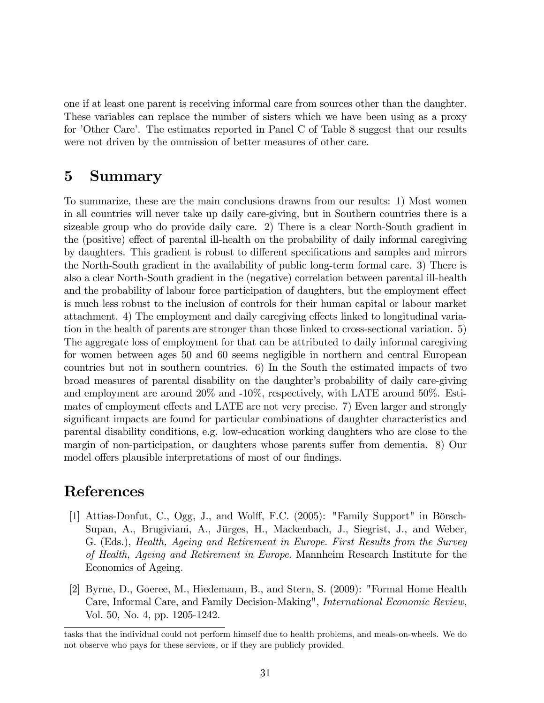one if at least one parent is receiving informal care from sources other than the daughter. These variables can replace the number of sisters which we have been using as a proxy for 'Other Care'. The estimates reported in Panel C of Table 8 suggest that our results were not driven by the ommission of better measures of other care.

# 5 Summary

To summarize, these are the main conclusions drawns from our results: 1) Most women in all countries will never take up daily care-giving, but in Southern countries there is a sizeable group who do provide daily care. 2) There is a clear North-South gradient in the (positive) effect of parental ill-health on the probability of daily informal caregiving by daughters. This gradient is robust to different specifications and samples and mirrors the North-South gradient in the availability of public long-term formal care. 3) There is also a clear North-South gradient in the (negative) correlation between parental ill-health and the probability of labour force participation of daughters, but the employment effect is much less robust to the inclusion of controls for their human capital or labour market attachment. 4) The employment and daily caregiving effects linked to longitudinal variation in the health of parents are stronger than those linked to cross-sectional variation. 5) The aggregate loss of employment for that can be attributed to daily informal caregiving for women between ages 50 and 60 seems negligible in northern and central European countries but not in southern countries. 6) In the South the estimated impacts of two broad measures of parental disability on the daughter's probability of daily care-giving and employment are around 20% and -10%, respectively, with LATE around 50%. Estimates of employment effects and LATE are not very precise. 7) Even larger and strongly significant impacts are found for particular combinations of daughter characteristics and parental disability conditions, e.g. low-education working daughters who are close to the margin of non-participation, or daughters whose parents suffer from dementia. 8) Our model offers plausible interpretations of most of our findings.

# References

- [1] Attias-Donfut, C., Ogg, J., and Wolff, F.C. (2005): "Family Support" in Börsch-Supan, A., Brugiviani, A., Jürges, H., Mackenbach, J., Siegrist, J., and Weber, G. (Eds.), Health, Ageing and Retirement in Europe. First Results from the Survey of Health, Ageing and Retirement in Europe. Mannheim Research Institute for the Economics of Ageing.
- [2] Byrne, D., Goeree, M., Hiedemann, B., and Stern, S. (2009): "Formal Home Health Care, Informal Care, and Family Decision-Making", International Economic Review, Vol. 50, No. 4, pp. 1205-1242.

tasks that the individual could not perform himself due to health problems, and meals-on-wheels. We do not observe who pays for these services, or if they are publicly provided.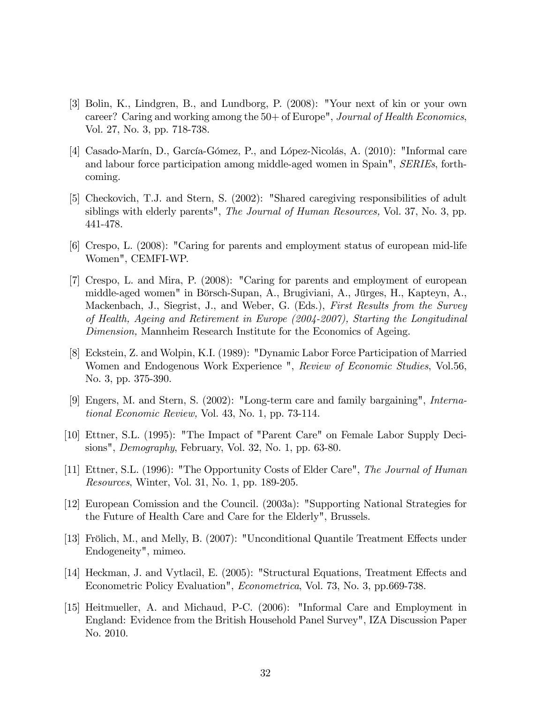- [3] Bolin, K., Lindgren, B., and Lundborg, P. (2008): "Your next of kin or your own career? Caring and working among the 50+ of Europe", *Journal of Health Economics*, Vol. 27, No. 3, pp. 718-738.
- [4] Casado-Marín, D., García-Gómez, P., and López-Nicolás, A. (2010): "Informal care and labour force participation among middle-aged women in Spain", SERIEs, forthcoming.
- [5] Checkovich, T.J. and Stern, S. (2002): "Shared caregiving responsibilities of adult siblings with elderly parents", *The Journal of Human Resources*, Vol. 37, No. 3, pp. 441-478.
- [6] Crespo, L. (2008): "Caring for parents and employment status of european mid-life Women", CEMFI-WP.
- [7] Crespo, L. and Mira, P. (2008): "Caring for parents and employment of european middle-aged women" in Börsch-Supan, A., Brugiviani, A., Jürges, H., Kapteyn, A., Mackenbach, J., Siegrist, J., and Weber, G. (Eds.), First Results from the Survey of Health, Ageing and Retirement in Europe (2004-2007), Starting the Longitudinal Dimension, Mannheim Research Institute for the Economics of Ageing.
- [8] Eckstein, Z. and Wolpin, K.I. (1989): "Dynamic Labor Force Participation of Married Women and Endogenous Work Experience ", Review of Economic Studies, Vol.56, No. 3, pp. 375-390.
- [9] Engers, M. and Stern, S. (2002): "Long-term care and family bargaining", International Economic Review, Vol. 43, No. 1, pp. 73-114.
- [10] Ettner, S.L. (1995): "The Impact of "Parent Care" on Female Labor Supply Decisions", *Demography*, February, Vol. 32, No. 1, pp. 63-80.
- [11] Ettner, S.L. (1996): "The Opportunity Costs of Elder Care", The Journal of Human Resources, Winter, Vol. 31, No. 1, pp. 189-205.
- [12] European Comission and the Council. (2003a): "Supporting National Strategies for the Future of Health Care and Care for the Elderly", Brussels.
- [13] Frölich, M., and Melly, B. (2007): "Unconditional Quantile Treatment Effects under Endogeneity", mimeo.
- [14] Heckman, J. and Vytlacil, E. (2005): "Structural Equations, Treatment Effects and Econometric Policy Evaluation", Econometrica, Vol. 73, No. 3, pp.669-738.
- [15] Heitmueller, A. and Michaud, P-C. (2006): "Informal Care and Employment in England: Evidence from the British Household Panel Survey", IZA Discussion Paper No. 2010.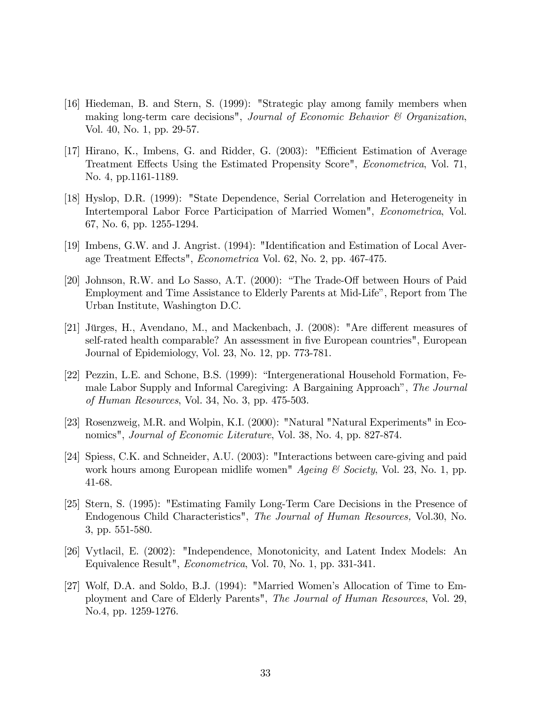- [16] Hiedeman, B. and Stern, S. (1999): "Strategic play among family members when making long-term care decisions", Journal of Economic Behavior & Organization, Vol. 40, No. 1, pp. 29-57.
- [17] Hirano, K., Imbens, G. and Ridder, G. (2003): "Efficient Estimation of Average Treatment Effects Using the Estimated Propensity Score", *Econometrica*, Vol. 71, No. 4, pp.1161-1189.
- [18] Hyslop, D.R. (1999): "State Dependence, Serial Correlation and Heterogeneity in Intertemporal Labor Force Participation of Married Women", Econometrica, Vol. 67, No. 6, pp. 1255-1294.
- [19] Imbens, G.W. and J. Angrist. (1994): "Identification and Estimation of Local Average Treatment Effects", *Econometrica* Vol. 62, No. 2, pp. 467-475.
- [20] Johnson, R.W. and Lo Sasso, A.T. (2000): "The Trade-Off between Hours of Paid Employment and Time Assistance to Elderly Parents at Mid-Lifeî, Report from The Urban Institute, Washington D.C.
- [21] Jürges, H., Avendano, M., and Mackenbach, J. (2008): "Are different measures of self-rated health comparable? An assessment in Öve European countries", European Journal of Epidemiology, Vol. 23, No. 12, pp. 773-781.
- [22] Pezzin, L.E. and Schone, B.S. (1999): "Intergenerational Household Formation, Female Labor Supply and Informal Caregiving: A Bargaining Approach<sup>n</sup>, The Journal of Human Resources, Vol. 34, No. 3, pp. 475-503.
- [23] Rosenzweig, M.R. and Wolpin, K.I. (2000): "Natural "Natural Experiments" in Economics", *Journal of Economic Literature*, Vol. 38, No. 4, pp. 827-874.
- [24] Spiess, C.K. and Schneider, A.U. (2003): "Interactions between care-giving and paid work hours among European midlife women"  $A$ *geing* & Society, Vol. 23, No. 1, pp. 41-68.
- [25] Stern, S. (1995): "Estimating Family Long-Term Care Decisions in the Presence of Endogenous Child Characteristics", The Journal of Human Resources, Vol.30, No. 3, pp. 551-580.
- [26] Vytlacil, E. (2002): "Independence, Monotonicity, and Latent Index Models: An Equivalence Result", Econometrica, Vol. 70, No. 1, pp. 331-341.
- [27] Wolf, D.A. and Soldo, B.J. (1994): "Married Womenís Allocation of Time to Employment and Care of Elderly Parents", The Journal of Human Resources, Vol. 29, No.4, pp. 1259-1276.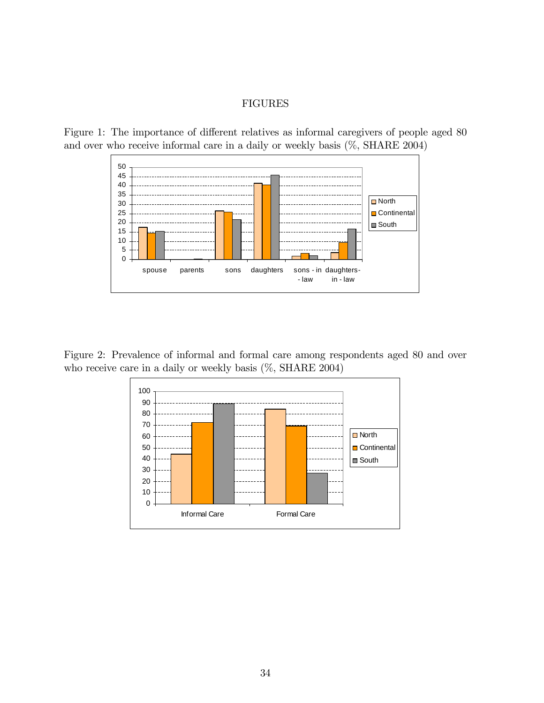#### FIGURES





Figure 2: Prevalence of informal and formal care among respondents aged 80 and over who receive care in a daily or weekly basis (%, SHARE 2004)

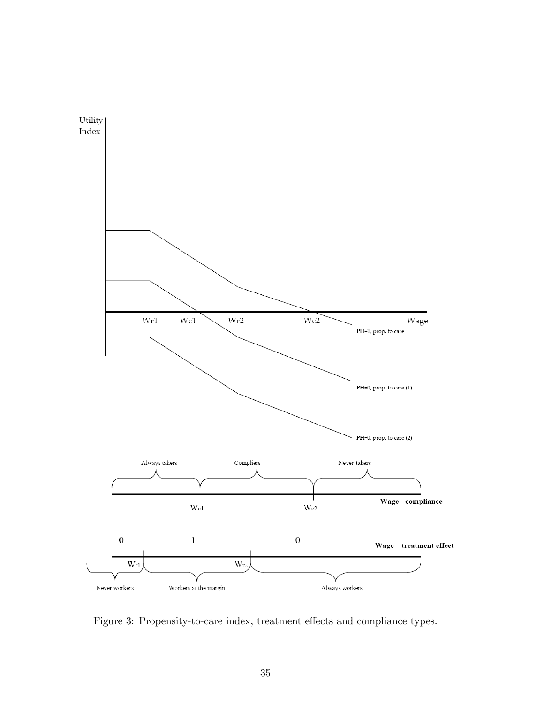

Figure 3: Propensity-to-care index, treatment effects and compliance types.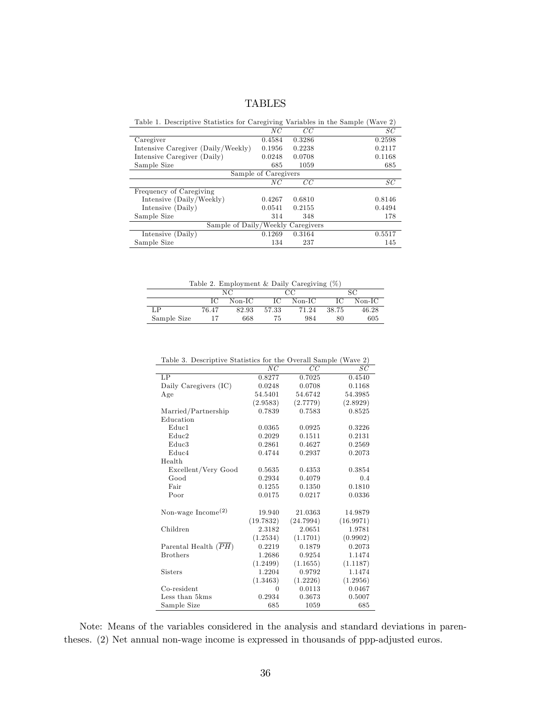### TABLES

| Table 1. Descriptive Statistics for Caregiving variables in the Sample (wave 2) |                      |        |        |
|---------------------------------------------------------------------------------|----------------------|--------|--------|
|                                                                                 | NC                   | CC     | SC     |
| Caregiver                                                                       | 0.4584               | 0.3286 | 0.2598 |
| Intensive Caregiver (Daily/Weekly)                                              | 0.1956               | 0.2238 | 0.2117 |
| Intensive Caregiver (Daily)                                                     | 0.0248               | 0.0708 | 0.1168 |
| Sample Size                                                                     | 685                  | 1059   | 685    |
|                                                                                 | Sample of Caregivers |        |        |
|                                                                                 | $_{NC}$              | CC     | SC     |
| Frequency of Caregiving                                                         |                      |        |        |
| Intensive (Daily/Weekly)                                                        | 0.4267               | 0.6810 | 0.8146 |
| Intensive (Daily)                                                               | 0.0541               | 0.2155 | 0.4494 |
| Sample Size                                                                     | 314                  | 348    | 178    |
| Sample of Daily/Weekly Caregivers                                               |                      |        |        |
| Intensive (Daily)                                                               | 0.1269               | 0.3164 | 0.5517 |
| Sample Size                                                                     | 134                  | 237    | 145    |

Table 1. Descriptive Statistics for Caregiving Variables in the Sample (Wave 2)

Table 2. Employment & Daily Caregiving (%)

|             |       | NC       |       | CС       |       | SС       |
|-------------|-------|----------|-------|----------|-------|----------|
|             | ĪС    | $Non-IC$ |       | $Non-IC$ |       | $Non-IC$ |
| гр          | 76.47 | 82.93    | 57.33 | 71.24    | 38.75 | 46.28    |
| Sample Size |       | 668      |       | 984      | 80    | 605      |

|--|

|                        | $_{NC}$   | CС        | SC        |
|------------------------|-----------|-----------|-----------|
| LP                     | 0.8277    | 0.7025    | 0.4540    |
| Daily Caregivers (IC)  | 0.0248    | 0.0708    | 0.1168    |
| Age                    | 54.5401   | 54.6742   | 54.3985   |
|                        | (2.9583)  | (2.7779)  | (2.8929)  |
| Married/Partnership    | 0.7839    | 0.7583    | 0.8525    |
| Education              |           |           |           |
| Educ <sub>1</sub>      | 0.0365    | 0.0925    | 0.3226    |
| Educ <sub>2</sub>      | 0.2029    | 0.1511    | 0.2131    |
| Educ <sub>3</sub>      | 0.2861    | 0.4627    | 0.2569    |
| Educ <sub>4</sub>      | 0.4744    | 0.2937    | 0.2073    |
| Health                 |           |           |           |
| Excellent/Very Good    | 0.5635    | 0.4353    | 0.3854    |
| Good                   | 0.2934    | 0.4079    | 0.4       |
| Fair                   | 0.1255    | 0.1350    | 0.1810    |
| Poor                   | 0.0175    | 0.0217    | 0.0336    |
| Non-wage $Income(2)$   | 19.940    | 21.0363   | 14.9879   |
|                        | (19.7832) | (24.7994) | (16.9971) |
| Children               | 2.3182    | 2.0651    | 1.9781    |
|                        | (1.2534)  | (1.1701)  | (0.9902)  |
| Parental Health $(PH)$ | 0.2219    | 0.1879    | 0.2073    |
| <b>Brothers</b>        | 1.2686    | 0.9254    | 1.1474    |
|                        | (1.2499)  | (1.1655)  | (1.1187)  |
| <b>Sisters</b>         | 1.2204    | 0.9792    | 1.1474    |
|                        | (1.3463)  | (1.2226)  | (1.2956)  |
| Co-resident            | $\theta$  | 0.0113    | 0.0467    |
| Less than 5kms         | 0.2934    | 0.3673    | 0.5007    |
| Sample Size            | 685       | 1059      | 685       |

Note: Means of the variables considered in the analysis and standard deviations in parentheses. (2) Net annual non-wage income is expressed in thousands of ppp-adjusted euros.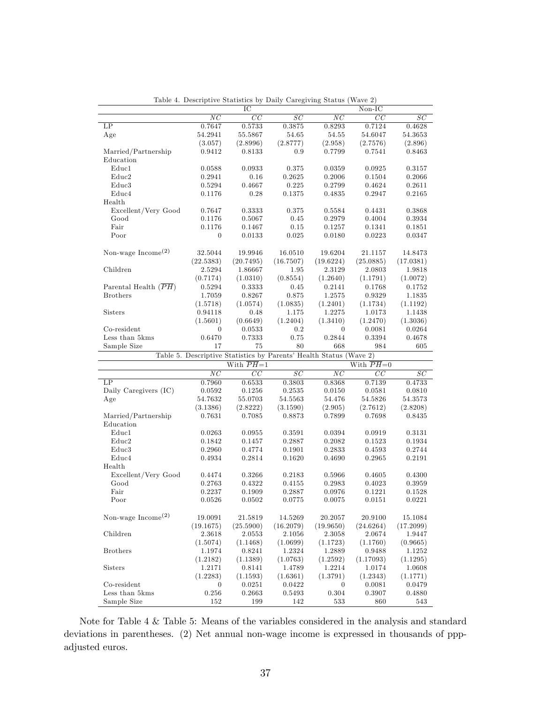|                                |                  | IC                                                                 |                 |                 | $Non-IC$      |               |
|--------------------------------|------------------|--------------------------------------------------------------------|-----------------|-----------------|---------------|---------------|
|                                | NC               | $\overline{CC}$                                                    | $\overline{SC}$ | $\overline{NC}$ | CC            | $_{SC}$       |
| LP                             | 0.7647           | 0.5733                                                             | 0.3875          | 0.8293          | 0.7124        | 0.4628        |
| Age                            | 54.2941          | 55.5867                                                            | 54.65           | 54.55           | 54.6047       | 54.3653       |
|                                | (3.057)          | (2.8996)                                                           | (2.8777)        | (2.958)         | (2.7576)      | (2.896)       |
| Married/Partnership            | 0.9412           | 0.8133                                                             | 0.9             | 0.7799          | 0.7541        | 0.8463        |
| Education                      |                  |                                                                    |                 |                 |               |               |
| Educ1                          |                  |                                                                    |                 |                 |               |               |
|                                | 0.0588           | 0.0933                                                             | 0.375           | 0.0359          | 0.0925        | 0.3157        |
| $_{\rm Educ2}$                 | 0.2941           | 0.16                                                               | 0.2625          | 0.2006          | 0.1504        | 0.2066        |
| $_{\rm Educ3}$                 | 0.5294           | 0.4667                                                             | 0.225           | 0.2799          | 0.4624        | 0.2611        |
| Educ4                          | 0.1176           | 0.28                                                               | 0.1375          | 0.4835          | 0.2947        | 0.2165        |
| Health                         |                  |                                                                    |                 |                 |               |               |
| Excellent/Very Good            | 0.7647           | 0.3333                                                             | 0.375           | 0.5584          | 0.4431        | 0.3868        |
| Good                           | 0.1176           | 0.5067                                                             | 0.45            | 0.2979          | 0.4004        | 0.3934        |
| Fair                           | 0.1176           | 0.1467                                                             | 0.15            | 0.1257          | 0.1341        | 0.1851        |
| Poor                           | $\boldsymbol{0}$ | 0.0133                                                             | 0.025           | 0.0180          | 0.0223        | 0.0347        |
|                                |                  |                                                                    |                 |                 |               |               |
| Non-wage Income <sup>(2)</sup> | 32.5044          | 19.9946                                                            | 16.0510         | 19.6204         | 21.1157       | 14.8473       |
|                                |                  |                                                                    |                 |                 |               |               |
|                                | (22.5383)        | (20.7495)                                                          | (16.7507)       | (19.6224)       | (25.0885)     | (17.0381)     |
| Children                       | 2.5294           | 1.86667                                                            | 1.95            | 2.3129          | 2.0803        | 1.9818        |
|                                | (0.7174)         | (1.0310)                                                           | (0.8554)        | (1.2640)        | (1.1791)      | (1.0072)      |
| Parental Health $(PH)$         | 0.5294           | 0.3333                                                             | 0.45            | 0.2141          | 0.1768        | 0.1752        |
| <b>Brothers</b>                | 1.7059           | 0.8267                                                             | 0.875           | 1.2575          | 0.9329        | 1.1835        |
|                                | (1.5718)         | (1.0574)                                                           | (1.0835)        | (1.2401)        | (1.1734)      | (1.1192)      |
| Sisters                        | 0.94118          | 0.48                                                               | 1.175           | 1.2275          | 1.0173        | 1.1438        |
|                                | (1.5601)         | (0.6649)                                                           | (1.2404)        | (1.3410)        | (1.2470)      | (1.3036)      |
| Co-resident                    | $\theta$         | 0.0533                                                             | 0.2             | $\theta$        | 0.0081        | 0.0264        |
| Less than 5kms                 |                  |                                                                    | 0.75            | 0.2844          |               |               |
|                                | 0.6470           | 0.7333                                                             |                 |                 | 0.3394        | 0.4678        |
| Sample Size                    | 17               | 75                                                                 | 80              | 668             | 984           | 605           |
|                                |                  |                                                                    |                 |                 |               |               |
|                                |                  | Table 5. Descriptive Statistics by Parents' Health Status (Wave 2) |                 |                 |               |               |
|                                |                  | With $PH=1$                                                        |                 |                 | With $PH=0$   |               |
|                                | ΝC               | CC                                                                 | SC              | ΝC              | $_{CC}$       | SC            |
| LP                             |                  |                                                                    |                 |                 |               |               |
|                                | 0.7960           | 0.6533                                                             | 0.3803          | 0.8368          | 0.7139        | 0.4733        |
| Daily Caregivers (IC)          | 0.0592           | 0.1256                                                             | 0.2535          | 0.0150          | 0.0581        | 0.0810        |
| Age                            | 54.7632          | 55.0703                                                            | 54.5563         | 54.476          | 54.5826       | 54.3573       |
|                                | (3.1386)         | (2.8222)                                                           | (3.1590)        | (2.905)         | (2.7612)      | (2.8208)      |
| Married/Partnership            | 0.7631           | 0.7085                                                             | 0.8873          | 0.7899          | 0.7698        | 0.8435        |
| Education                      |                  |                                                                    |                 |                 |               |               |
| $_{\rm Educ1}$                 | 0.0263           | 0.0955                                                             | 0.3591          | 0.0394          | 0.0919        | 0.3131        |
| Educ2                          | 0.1842           | 0.1457                                                             | 0.2887          | 0.2082          | 0.1523        | 0.1934        |
| Educ3                          | 0.2960           | 0.4774                                                             | 0.1901          | 0.2833          | 0.4593        | 0.2744        |
| Educ4                          | 0.4934           | 0.2814                                                             | 0.1620          | 0.4690          | 0.2965        | 0.2191        |
| Health                         |                  |                                                                    |                 |                 |               |               |
| Excellent/Very Good            | 0.4474           | 0.3266                                                             | 0.2183          | 0.5966          | 0.4605        | 0.4300        |
| Good                           |                  |                                                                    | 0.4155          |                 | 0.4023        |               |
|                                | 0.2763           | 0.4322                                                             |                 | 0.2983          |               | 0.3959        |
| Fair                           | 0.2237           | 0.1909                                                             | 0.2887          | 0.0976          | 0.1221        | 0.1528        |
| Poor                           | 0.0526           | 0.0502                                                             | 0.0775          | 0.0075          | 0.0151        | 0.0221        |
|                                |                  |                                                                    |                 |                 |               |               |
| Non-wage $Income(2)$           | 19.0091          | 21.5819                                                            | 14.5269         | 20.2057         | 20.9100       | 15.1084       |
|                                | (19.1675)        | (25.5900)                                                          | (16.2079)       | (19.9650)       | (24.6264)     | (17.2099)     |
| Children                       | 2.3618           | 2.0553                                                             | 2.1056          | 2.3058          | 2.0674        | 1.9447        |
|                                | (1.5074)         | (1.1468)                                                           | (1.0699)        | (1.1723)        | (1.1760)      | (0.9665)      |
| <b>Brothers</b>                | 1.1974           | 0.8241                                                             | 1.2324          | 1.2889          | 0.9488        | 1.1252        |
|                                | (1.2182)         | (1.1389)                                                           | (1.0763)        | (1.2592)        | (1.17093)     | (1.1295)      |
| Sisters                        | 1.2171           | 0.8141                                                             | 1.4789          | 1.2214          | 1.0174        | 1.0608        |
|                                |                  |                                                                    | (1.6361)        |                 | (1.2343)      |               |
|                                | (1.2283)         | (1.1593)                                                           |                 | (1.3791)        |               | (1.1771)      |
| Co-resident                    | $\theta$         | 0.0251                                                             | 0.0422          | $\theta$        | 0.0081        | 0.0479        |
| Less than 5kms<br>Sample Size  | 0.256<br>152     | 0.2663<br>199                                                      | 0.5493<br>142   | 0.304<br>533    | 0.3907<br>860 | 0.4880<br>543 |

Table 4. Descriptive Statistics by Daily Caregiving Status (Wave 2)

Note for Table 4 & Table 5: Means of the variables considered in the analysis and standard deviations in parentheses. (2) Net annual non-wage income is expressed in thousands of pppadjusted euros.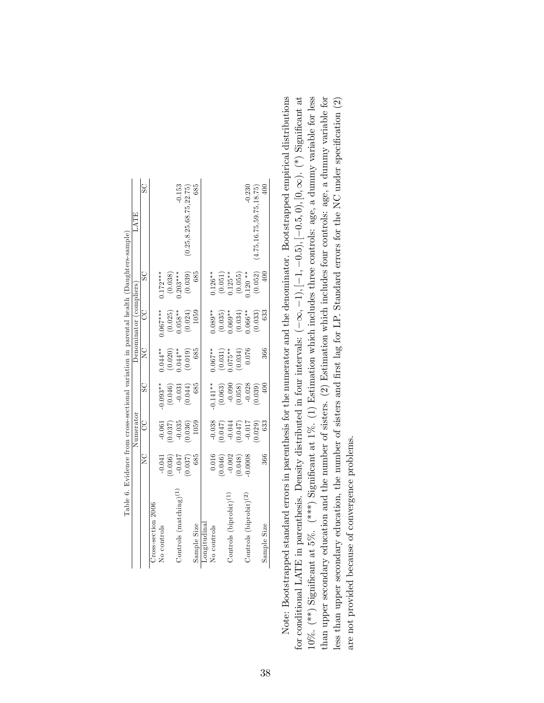|                                   |                                                                                                               | Numerator                          |                     |                        | Denominator (compliers)                     |                                                                                 | <b>HLVT</b>                 |
|-----------------------------------|---------------------------------------------------------------------------------------------------------------|------------------------------------|---------------------|------------------------|---------------------------------------------|---------------------------------------------------------------------------------|-----------------------------|
|                                   | $\frac{C}{Z}$                                                                                                 | U<br>U                             | $_{\rm SC}$         | V<br>Z                 | CC                                          | SC                                                                              | $\overline{S}$              |
| Cross-section 2006                |                                                                                                               |                                    |                     |                        |                                             |                                                                                 |                             |
| No controls                       |                                                                                                               | $-0.061$                           | $0.093**$           | $0.044**$              | $0.067***$                                  | $0.172***$                                                                      |                             |
|                                   | $\begin{array}{c} (1.50 \cdot 0) \\ (90 \cdot 0) \\ (90 \cdot 0) \\ (90 \cdot 0) \\ (90 \cdot 0) \end{array}$ | $(0.037)$<br>$-0.035$<br>$(0.036)$ | $(0.046)$<br>-0.031 | $(0.020)$<br>$0.044**$ | $(0.025)$<br>$0.058**$                      | $(0.038)$<br>0.203***                                                           |                             |
| Controls $(matching)(1)$          |                                                                                                               |                                    |                     |                        |                                             |                                                                                 | $-0.153$                    |
|                                   |                                                                                                               |                                    | (0.044)             | (0.019)                | (0.024)                                     | (0.039)                                                                         | 0.25, 8.25, 68.75, 22.75)   |
| Sample Size                       | 685                                                                                                           | 1059                               | 685                 | 685                    | 1059                                        | 685                                                                             | 685                         |
| Longitudinal                      |                                                                                                               |                                    |                     |                        |                                             |                                                                                 |                             |
| No controls                       |                                                                                                               |                                    | $0.141***$          | $0.067***$             | $0.089**$                                   | $0.126**$                                                                       |                             |
|                                   |                                                                                                               |                                    |                     |                        |                                             |                                                                                 |                             |
| Controls (biprobit) <sup>(1</sup> | $\begin{array}{c} 0.016 \\ 0.046) \\ -0.002 \\ 0.048) \\ 0.048) \end{array}$                                  |                                    | (0.063)             | $(0.031)$<br>$0.075**$ | $(0.035)$<br>0.69**<br>$(0.034)$<br>(0.034) |                                                                                 |                             |
|                                   |                                                                                                               |                                    |                     | (0.034)                |                                             |                                                                                 |                             |
| Controls $(biprobit)^{(2)}$       |                                                                                                               |                                    | $(0.058)$<br>-0.028 | 0.076                  |                                             | $\begin{array}{c} (0.051) \\ 0.125^{**} \\ (0.055) \\ (120^{**} \\ \end{array}$ | $-0.230$                    |
|                                   |                                                                                                               | 0.029)                             | (0.039)             |                        | (0.033)                                     | (0.052)                                                                         | (4.75, 16.75, 59.75, 18.75) |
| Sample Size                       | 366                                                                                                           | 633                                | 40 <sup>c</sup>     | 366                    |                                             |                                                                                 | 400                         |

Note: Bootstrapped standard errors in parenthesis for the numerator and the denominator. Bootstrapped empirical distributions for conditional LATE in parenthesis. Density distributed in four intervals:  $(-\infty, -1)$ ,  $[-1, -0.5)$ ,  $[-0.5, 0)$ ,  $[0, \infty)$ .  $(*)$  Significant at  $10\%$ . (\*\*) Significant at 5%. (\*\*\*) Significant at 1%. (1) Estimation which includes three controls: age, a dummy variable for less than upper secondary education and the number of sisters. (2) Estimation which includes four controls: age, a dummy variable for Note: Bootstrapped standard errors in parenthesis for the numerator and the denominator. Bootstrapped empirical distributions  $10\%$ . (\*\*) Significant at 5%. (\*\*\*) Significant at 1%. (1) Estimation which includes three controls: age, a dummy variable for less than upper secondary education and the number of sisters. (2) Estimation which includes four controls: age, a dummy variable for less than upper secondary education, the number of sisters and first lag for LP. Standard errors for the NC under specification (2) for conditional LATE in parenthesis. Density distributed in four intervals:  $(-\infty, -1)$ ,  $[-1, -0.5, 0)$ ,  $[0, \infty)$ .  $(*)$  Significant at less than upper secondary education, the number of sisters and first lag for LP. Standard errors for the NC under specification  $(2)$ are not provided because of convergence problems. are not provided because of convergence problems.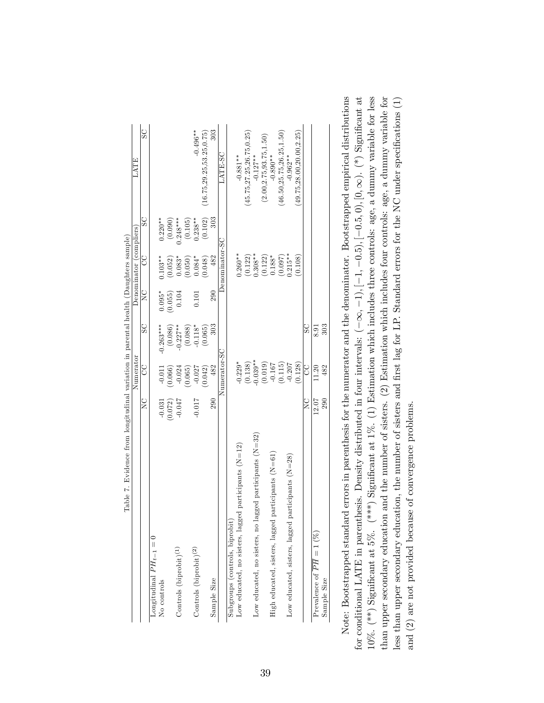|                                                           |                    | Numerator                                                             |             |                  | Denominator (compliers) |                                               | LATE                        |
|-----------------------------------------------------------|--------------------|-----------------------------------------------------------------------|-------------|------------------|-------------------------|-----------------------------------------------|-----------------------------|
|                                                           | $\sum_{i=1}^{n}$   | SO                                                                    | SC          | $\sum_{i=1}^{n}$ | CC                      | SC                                            | $\overline{\text{S}}$       |
| Longitudinal $PH_{t-1}=0$                                 |                    |                                                                       |             |                  |                         |                                               |                             |
| No controls                                               | $-0.031$           | $-0.011$                                                              | $-0.263***$ | $0.095*$         | $0.103**$               | $0.220**$                                     |                             |
|                                                           | 0.072)             | 0.066)                                                                | (0.086)     | (0.055)          | (0.052)                 | (0.090)                                       |                             |
| Controls (biprobit) <sup>(1)</sup>                        | $-0.047$           | $-0.024$                                                              | $-0.227**$  | 0.104            | $0.083*$                | $.248***$                                     |                             |
|                                                           |                    | (0.065)                                                               | (0.088)     |                  | (0.050)                 | (0.105)                                       |                             |
| Controls (biprobit) <sup>(2)</sup>                        | $-0.017$           | $-0.027$                                                              | $-0.118*$   | 0.101            | $0.084*$                | $0.238**$                                     | $-0.496**$                  |
|                                                           |                    | (0.042)                                                               | (0.065)     |                  | (0.048)                 | $\begin{array}{c} (0.102) \\ 303 \end{array}$ | (16.75, 29.25, 53.25, 0.75) |
| Sample Size                                               | 290                | 482                                                                   | 303         | 290              | 482                     |                                               | 303                         |
|                                                           |                    | Numerator-SC                                                          |             |                  | Denominator-SC          |                                               | LATE-SC                     |
| Subgroups (controls, biprobit)                            |                    |                                                                       |             |                  |                         |                                               |                             |
| Low educated, no sisters, lagged participants (N=12)      |                    | $-0.229*$                                                             |             |                  | $0.260**$               |                                               | $-0.881**$                  |
|                                                           |                    |                                                                       |             |                  |                         |                                               | (45.75, 27.25, 26.75, 0.25) |
| Low educated, no sisters, no lagged participants $(N=32)$ |                    | $(0.138)$<br>$-0.039**$                                               |             |                  | $(0.122)$<br>0.308**    |                                               | $-0.127**$                  |
|                                                           |                    |                                                                       |             |                  | $(0.122)$<br>0.188*     |                                               | (2.00, 2.75, 93.75, 1.50)   |
| High educated, sisters, lagged participants $(N=61)$      |                    |                                                                       |             |                  |                         |                                               | $-0.890**$                  |
|                                                           |                    | $\begin{array}{c} (0.019) \\ -0.167 \\ (0.115) \\ -0.207 \end{array}$ |             |                  | $(0.097)$<br>0.215**    |                                               | (46.50, 25.75, 26.25, 1.50) |
| Low educated, sisters, lagged participants $(N=28)$       |                    |                                                                       |             |                  |                         |                                               | $-0.962**$                  |
|                                                           |                    | (0.128)                                                               |             |                  | (0.108)                 |                                               | (49.75, 28.00, 20.00, 2.25) |
|                                                           | $_{\rm Z}^{\rm C}$ | SO                                                                    | $_{\rm SC}$ |                  |                         |                                               |                             |
| Prevalence of $PH = 1 (%)$                                | 12.07              | 11.20                                                                 | 8.91        |                  |                         |                                               |                             |
| Sample Size                                               | 290                | 482                                                                   | 303         |                  |                         |                                               |                             |
|                                                           |                    |                                                                       |             |                  |                         |                                               |                             |

| l<br>١<br>ļ | í |
|-------------|---|
|             |   |
|             |   |
|             |   |
|             |   |
|             |   |
|             |   |
| l           |   |
| Į<br>I<br>I |   |

Note: Bootstrapped standard errors in parenthesis for the numerator and the denominator. Bootstrapped empirical distributions for conditional LATE in parenthesis. Density distributed in four intervals:  $(-\infty, -1)$ ,  $[-1, -0.5)$ ,  $[-0.5, 0)$ ,  $[0, \infty)$ .  $(*)$  Significant at  $10\%$ . (\*\*) Significant at 5%. (\*\*\*) Significant at 1%. (1) Estimation which includes three controls: age, a dummy variable for less than upper secondary education and the number of sisters. (2) Estimation which includes four controls: age, a dummy variable for Note: Bootstrapped standard errors in parenthesis for the numerator and the denominator. Bootstrapped empirical distributions  $10\%$ . (\*\*) Significant at 5%. (\*\*\*) Significant at 1%. (1) Estimation which includes three controls: age, a dummy variable for less than upper secondary education and the number of sisters. (2) Estimation which includes four controls: age, a dummy variable for less than upper secondary education, the number of sisters and first lag for LP. Standard errors for the NC under specifications  $(1)$ for conditional LATE in parenthesis. Density distributed in four intervals:  $(-\infty, -1)$ ,  $[-1, -0.5, 0)$ ,  $[0, \infty)$ .  $(*)$  Significant at less than upper secondary education, the number of sisters and first lag for LP. Standard errors for the NC under specifications (1) and (2) are not provided because of convergence problems. and (2) are not provided because of convergence problems.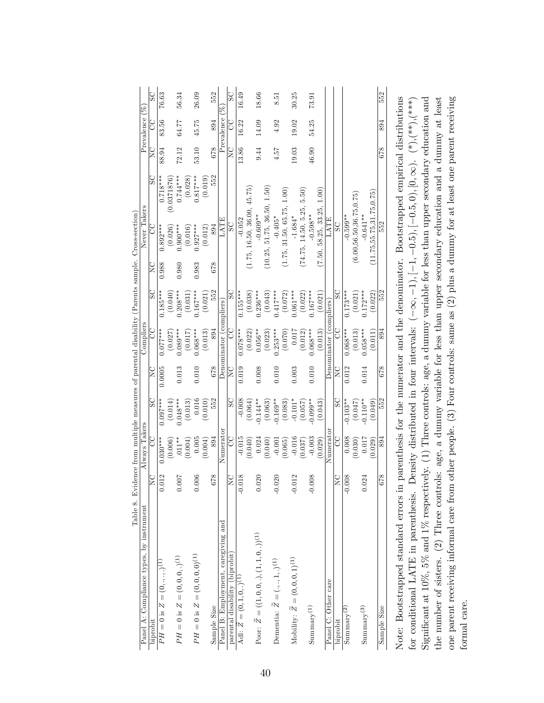| $\overline{C}$           |
|--------------------------|
| SC<br>g                  |
| $0.097***$<br>$0.030***$ |
| (0.014)<br>(0.006)       |
| $0.048***$<br>$.011**$   |
| (0.013)<br>(0.004)       |
| 0.016<br>0.005           |
| (0.010)<br>(0.004)       |
| 894                      |
| Numerator                |
| SC<br>g                  |
| $-0.008$<br>$-0.015$     |
| (0.064)<br>(0.040)       |
| $-0.144**$<br>0.024      |
| (0.063)<br>(0.040)       |
| $-0.169***$<br>$-0.001$  |
| (0.083)<br>(0.065)       |
| $-0.101*$<br>$-0.016$    |
| (0.057)<br>(0.037)       |
| $0.099**$<br>$-0.003$    |
| (0.043)<br>(0.029)       |
| Numerator                |
| $_{\rm SC}$<br>SO        |
| $-0.103**$<br>0.008      |
| (0.047)<br>(0.030)       |
| $-0.110**$<br>0.017      |
| (0.049)<br>(0.029)       |
| 894                      |

|                                                                                                                                       |                 |     |     |                 |     |     | $\lambda$ and $\lambda$ and $\lambda$ and $\lambda$ and $\lambda$ and $\lambda$ and $\lambda$ and $\lambda$ and $\lambda$ and $\lambda$ |             |  |
|---------------------------------------------------------------------------------------------------------------------------------------|-----------------|-----|-----|-----------------|-----|-----|-----------------------------------------------------------------------------------------------------------------------------------------|-------------|--|
| Sample Size                                                                                                                           | $rac{829}{259}$ | 894 | 552 | $\frac{829}{2}$ | 894 | 552 | 552                                                                                                                                     | 678 894 552 |  |
|                                                                                                                                       |                 |     |     |                 |     |     |                                                                                                                                         |             |  |
| Note: Bootstrapped standard errors in parenthesis for the numerator and the denominator. Bootstrapped empirical distributions         |                 |     |     |                 |     |     |                                                                                                                                         |             |  |
| for conditional LATE in parenthesis.                                                                                                  |                 |     |     |                 |     |     |                                                                                                                                         |             |  |
| Significant at 10%, 5% and 1% respectively. (1) Three controls: age, a dummy variable for less than upper secondary education and     |                 |     |     |                 |     |     |                                                                                                                                         |             |  |
| the number of sisters. (2) Three controls: age, a dummy variable for less than upper secondary education and a dummy at least         |                 |     |     |                 |     |     |                                                                                                                                         |             |  |
| one parent receiving informal care from other people. (3) Four controls: same as $(2)$ plus a dummy for at least one parent receiving |                 |     |     |                 |     |     |                                                                                                                                         |             |  |
| formal care.                                                                                                                          |                 |     |     |                 |     |     |                                                                                                                                         |             |  |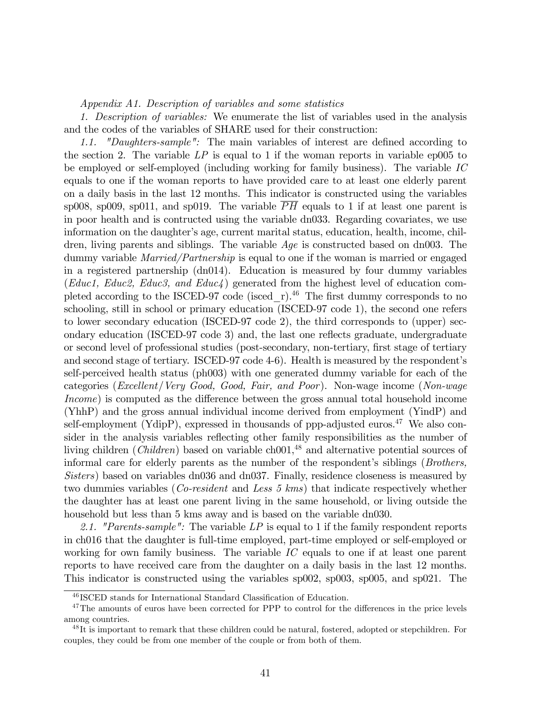#### Appendix A1. Description of variables and some statistics

1. Description of variables: We enumerate the list of variables used in the analysis and the codes of the variables of SHARE used for their construction:

1.1. "Daughters-sample": The main variables of interest are defined according to the section 2. The variable  $LP$  is equal to 1 if the woman reports in variable ep005 to be employed or self-employed (including working for family business). The variable IC equals to one if the woman reports to have provided care to at least one elderly parent on a daily basis in the last 12 months. This indicator is constructed using the variables sp008, sp009, sp011, and sp019. The variable  $\overline{PH}$  equals to 1 if at least one parent is in poor health and is contructed using the variable dn033. Regarding covariates, we use information on the daughter's age, current marital status, education, health, income, children, living parents and siblings. The variable  $Age$  is constructed based on dn003. The dummy variable *Married/Partnership* is equal to one if the woman is married or engaged in a registered partnership (dn014). Education is measured by four dummy variables (Educ1, Educ2, Educ3, and Educ4) generated from the highest level of education completed according to the ISCED-97 code (isced r).<sup>46</sup> The first dummy corresponds to no schooling, still in school or primary education (ISCED-97 code 1), the second one refers to lower secondary education (ISCED-97 code 2), the third corresponds to (upper) secondary education (ISCED-97 code 3) and, the last one reflects graduate, undergraduate or second level of professional studies (post-secondary, non-tertiary, first stage of tertiary and second stage of tertiary. ISCED-97 code 4-6). Health is measured by the respondent's self-perceived health status (ph003) with one generated dummy variable for each of the categories (Excellent/Very Good, Good, Fair, and Poor). Non-wage income (Non-wage  $Income$ ) is computed as the difference between the gross annual total household income (YhhP) and the gross annual individual income derived from employment (YindP) and self-employment (YdipP), expressed in thousands of ppp-adjusted euros.<sup>47</sup> We also consider in the analysis variables reflecting other family responsibilities as the number of living children (*Children*) based on variable ch $001<sup>48</sup>$  and alternative potential sources of informal care for elderly parents as the number of the respondent's siblings (Brothers, Sisters) based on variables dn036 and dn037. Finally, residence closeness is measured by two dummies variables (Co-resident and Less 5 kms) that indicate respectively whether the daughter has at least one parent living in the same household, or living outside the household but less than 5 kms away and is based on the variable dn030.

2.1. "Parents-sample": The variable  $LP$  is equal to 1 if the family respondent reports in ch016 that the daughter is full-time employed, part-time employed or self-employed or working for own family business. The variable IC equals to one if at least one parent reports to have received care from the daughter on a daily basis in the last 12 months. This indicator is constructed using the variables sp002, sp003, sp005, and sp021. The

<sup>&</sup>lt;sup>46</sup> ISCED stands for International Standard Classification of Education.

<sup>&</sup>lt;sup>47</sup>The amounts of euros have been corrected for PPP to control for the differences in the price levels among countries.

<sup>&</sup>lt;sup>48</sup>It is important to remark that these children could be natural, fostered, adopted or stepchildren. For couples, they could be from one member of the couple or from both of them.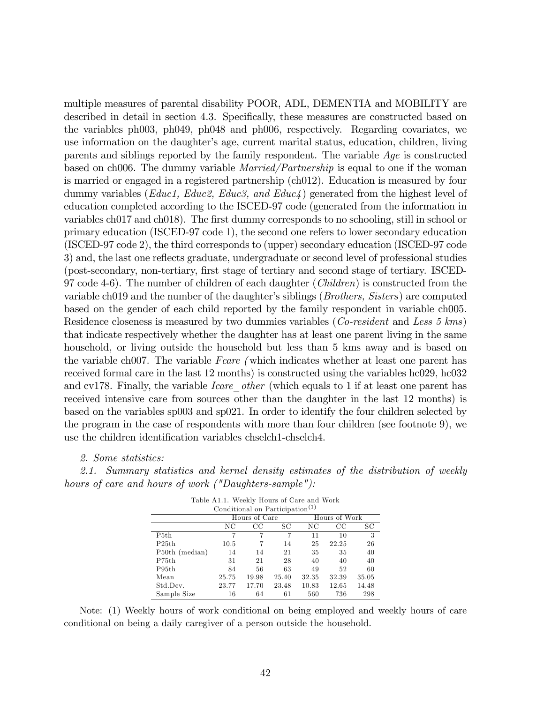multiple measures of parental disability POOR, ADL, DEMENTIA and MOBILITY are described in detail in section 4.3. Specifically, these measures are constructed based on the variables ph003, ph049, ph048 and ph006, respectively. Regarding covariates, we use information on the daughter's age, current marital status, education, children, living parents and siblings reported by the family respondent. The variable Age is constructed based on ch006. The dummy variable Married/Partnership is equal to one if the woman is married or engaged in a registered partnership (ch012). Education is measured by four dummy variables ( $Educ1$ ,  $Educ2$ ,  $Educ3$ , and  $Educ4$ ) generated from the highest level of education completed according to the ISCED-97 code (generated from the information in variables ch017 and ch018). The first dummy corresponds to no schooling, still in school or primary education (ISCED-97 code 1), the second one refers to lower secondary education (ISCED-97 code 2), the third corresponds to (upper) secondary education (ISCED-97 code 3) and, the last one reflects graduate, undergraduate or second level of professional studies (post-secondary, non-tertiary, Örst stage of tertiary and second stage of tertiary. ISCED-97 code 4-6). The number of children of each daughter (*Children*) is constructed from the variable ch019 and the number of the daughter's siblings (*Brothers, Sisters*) are computed based on the gender of each child reported by the family respondent in variable ch005. Residence closeness is measured by two dummies variables (*Co-resident* and Less 5 kms) that indicate respectively whether the daughter has at least one parent living in the same household, or living outside the household but less than 5 kms away and is based on the variable ch007. The variable Fcare (which indicates whether at least one parent has received formal care in the last 12 months) is constructed using the variables hc029, hc032 and cv178. Finally, the variable *Icare* other (which equals to 1 if at least one parent has received intensive care from sources other than the daughter in the last 12 months) is based on the variables sp003 and sp021. In order to identify the four children selected by the program in the case of respondents with more than four children (see footnote 9), we use the children identification variables chselch1-chselch4.

#### 2. Some statistics:

2.1. Summary statistics and kernel density estimates of the distribution of weekly hours of care and hours of work ("Daughters-sample"):

|                | Conditional on Participation <sup>(1)</sup> |               |       |       |               |       |
|----------------|---------------------------------------------|---------------|-------|-------|---------------|-------|
|                |                                             | Hours of Care |       |       | Hours of Work |       |
|                | NC                                          | CC            | SС    | ΝC    | CС            | SС    |
| P5th           |                                             |               | 7     | 11    | 10            | 3     |
| P25th          | 10.5                                        |               | 14    | 25    | 22.25         | 26    |
| P50th (median) | 14                                          | 14            | 21    | 35    | 35            | 40    |
| P75th          | 31                                          | 21            | 28    | 40    | 40            | 40    |
| P95th          | 84                                          | 56            | 63    | 49    | 52            | 60    |
| Mean           | 25.75                                       | 19.98         | 25.40 | 32.35 | 32.39         | 35.05 |
| Std.Dev.       | 23.77                                       | 17.70         | 23.48 | 10.83 | 12.65         | 14.48 |
| Sample Size    | 16                                          | 64            | 61    | 560   | 736           | 298   |

Table A1.1. Weekly Hours of Care and Work

Note: (1) Weekly hours of work conditional on being employed and weekly hours of care conditional on being a daily caregiver of a person outside the household.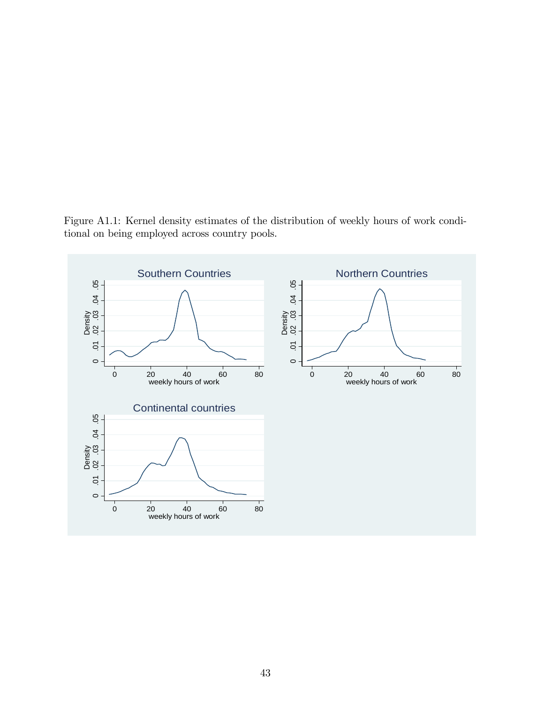Figure A1.1: Kernel density estimates of the distribution of weekly hours of work conditional on being employed across country pools.

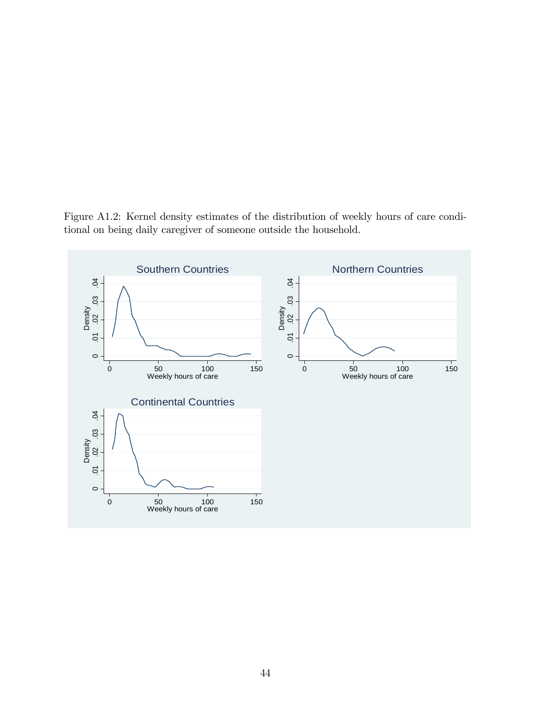Figure A1.2: Kernel density estimates of the distribution of weekly hours of care conditional on being daily caregiver of someone outside the household.

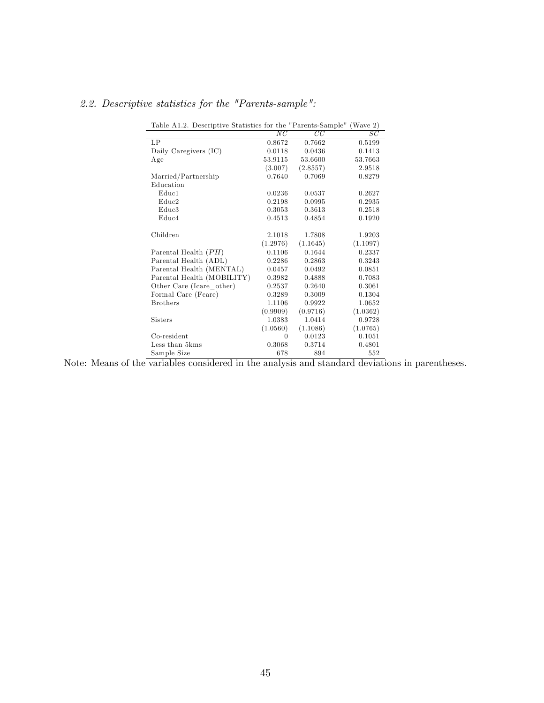| Table A1.2. Descriptive Statistics for the "Parents-Sample" (Wave 2) |          |          |          |
|----------------------------------------------------------------------|----------|----------|----------|
|                                                                      | NC       | CC       | SC       |
| LP                                                                   | 0.8672   | 0.7662   | 0.5199   |
| Daily Caregivers (IC)                                                | 0.0118   | 0.0436   | 0.1413   |
| Age                                                                  | 53.9115  | 53.6600  | 53.7663  |
|                                                                      | (3.007)  | (2.8557) | 2.9518   |
| Married/Partnership                                                  | 0.7640   | 0.7069   | 0.8279   |
| Education                                                            |          |          |          |
| Educ1                                                                | 0.0236   | 0.0537   | 0.2627   |
| Educ2                                                                | 0.2198   | 0.0995   | 0.2935   |
| Educ3                                                                | 0.3053   | 0.3613   | 0.2518   |
| Educ4                                                                | 0.4513   | 0.4854   | 0.1920   |
| Children                                                             | 2.1018   | 1.7808   | 1.9203   |
|                                                                      | (1.2976) | (1.1645) | (1.1097) |
| Parental Health $(PH)$                                               | 0.1106   | 0.1644   | 0.2337   |
| Parental Health (ADL)                                                | 0.2286   | 0.2863   | 0.3243   |
| Parental Health (MENTAL)                                             | 0.0457   | 0.0492   | 0.0851   |
| Parental Health (MOBILITY)                                           | 0.3982   | 0.4888   | 0.7083   |
| Other Care (Icare other)                                             | 0.2537   | 0.2640   | 0.3061   |
| Formal Care (Fcare)                                                  | 0.3289   | 0.3009   | 0.1304   |
| <b>Brothers</b>                                                      | 1.1106   | 0.9922   | 1.0652   |
|                                                                      | (0.9909) | (0.9716) | (1.0362) |
| <b>Sisters</b>                                                       | 1.0383   | 1.0414   | 0.9728   |
|                                                                      | (1.0560) | (1.1086) | (1.0765) |
| Co-resident                                                          | $\theta$ | 0.0123   | 0.1051   |
| Less than 5kms                                                       | 0.3068   | 0.3714   | 0.4801   |
| Sample Size                                                          | 678      | 894      | 552      |

## 2.2. Descriptive statistics for the "Parents-sample":

Note: Means of the variables considered in the analysis and standard deviations in parentheses.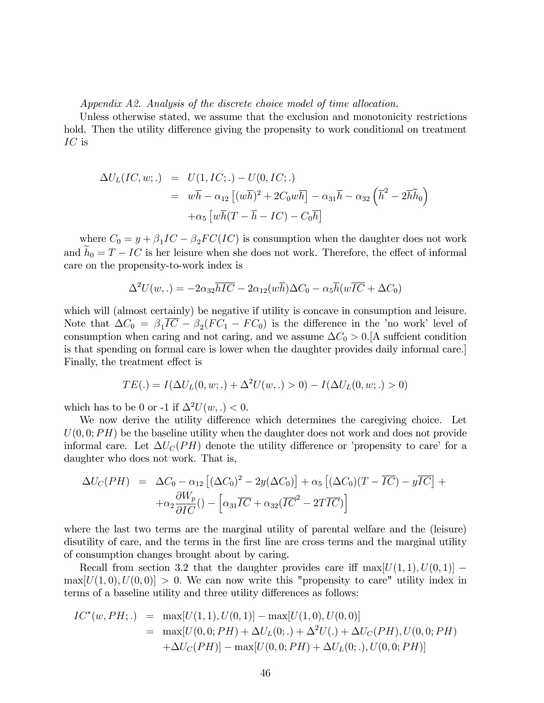Appendix A2. Analysis of the discrete choice model of time allocation.

Unless otherwise stated, we assume that the exclusion and monotonicity restrictions hold. Then the utility difference giving the propensity to work conditional on treatment IC is

$$
\Delta U_L(IC, w;.) = U(1, IC;.) - U(0, IC;.)
$$
  
=  $w\overline{h} - \alpha_{12} [(w\overline{h})^2 + 2C_0w\overline{h}] - \alpha_{31}\overline{h} - \alpha_{32} (\overline{h}^2 - 2\overline{h}\overline{h}_0)$   
+ $\alpha_5 [w\overline{h}(T - \overline{h} - IC) - C_0\overline{h}]$ 

where  $C_0 = y + \beta_1 IC - \beta_2 FC(IC)$  is consumption when the daughter does not work and  $h_0 = T - IC$  is her leisure when she does not work. Therefore, the effect of informal care on the propensity-to-work index is

$$
\Delta^2 U(w,.) = -2\alpha_{32} \overline{hIC} - 2\alpha_{12}(w\overline{h})\Delta C_0 - \alpha_5 \overline{h}(w\overline{IC} + \Delta C_0)
$$

which will (almost certainly) be negative if utility is concave in consumption and leisure. Note that  $\Delta C_0 = \beta_1 IC - \beta_2 (FC_1 - FC_0)$  is the difference in the 'no work' level of consumption when caring and not caring, and we assume  $\Delta C_0 > 0$ . [A suffcient condition is that spending on formal care is lower when the daughter provides daily informal care.] Finally, the treatment effect is

$$
TE(.) = I(\Delta U_L(0, w; .) + \Delta^2 U(w, .) > 0) - I(\Delta U_L(0, w; .) > 0)
$$

which has to be 0 or -1 if  $\Delta^2 U(w, .) < 0$ .

We now derive the utility difference which determines the caregiving choice. Let  $U(0,0; PH)$  be the baseline utility when the daughter does not work and does not provide informal care. Let  $\Delta U_C(PH)$  denote the utility difference or 'propensity to care' for a daughter who does not work. That is,

$$
\Delta U_C(PH) = \Delta C_0 - \alpha_{12} \left[ (\Delta C_0)^2 - 2y(\Delta C_0) \right] + \alpha_5 \left[ (\Delta C_0)(T - \overline{IC}) - y\overline{IC} \right] +
$$
  
 
$$
+ \alpha_2 \frac{\partial W_p}{\partial IC} \left( -\left[ \alpha_{31} \overline{IC} + \alpha_{32} (\overline{IC}^2 - 2T\overline{IC}) \right] \right)
$$

where the last two terms are the marginal utility of parental welfare and the (leisure) disutility of care, and the terms in the first line are cross terms and the marginal utility of consumption changes brought about by caring.

Recall from section 3.2 that the daughter provides care iff  $\max[U(1,1), U(0,1)]$  –  $\max[U(1,0),U(0,0)]>0.$  We can now write this "propensity to care" utility index in terms of a baseline utility and three utility differences as follows:

$$
IC^*(w, PH;.) = \max[U(1,1), U(0,1)] - \max[U(1,0), U(0,0)]
$$
  
= 
$$
\max[U(0,0; PH) + \Delta U_L(0;.) + \Delta^2 U(.) + \Delta U_C(PH), U(0,0; PH)
$$
  
+
$$
\Delta U_C(PH)] - \max[U(0,0; PH) + \Delta U_L(0;.), U(0,0; PH)]
$$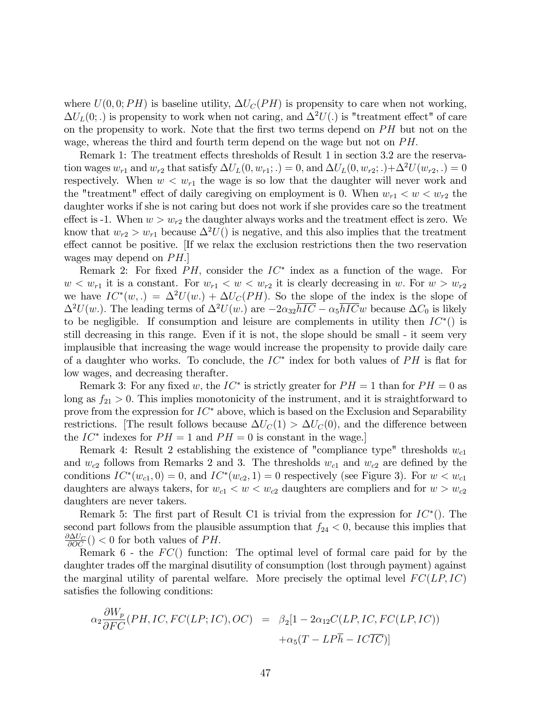where  $U(0,0; PH)$  is baseline utility,  $\Delta U_C(PH)$  is propensity to care when not working,  $\Delta U_L(0;.)$  is propensity to work when not caring, and  $\Delta^2 U(.)$  is "treatment effect" of care on the propensity to work. Note that the first two terms depend on  $PH$  but not on the wage, whereas the third and fourth term depend on the wage but not on  $PH$ .

Remark 1: The treatment effects thresholds of Result 1 in section 3.2 are the reservation wages  $w_{r1}$  and  $w_{r2}$  that satisfy  $\Delta U_L(0, w_{r1}; .) = 0$ , and  $\Delta U_L(0, w_{r2}; .) + \Delta^2 U(w_{r2}, .) = 0$ respectively. When  $w < w_{r1}$  the wage is so low that the daughter will never work and the "treatment" effect of daily caregiving on employment is 0. When  $w_{r1} < w < w_{r2}$  the daughter works if she is not caring but does not work if she provides care so the treatment effect is -1. When  $w > w_{r2}$  the daughter always works and the treatment effect is zero. We know that  $w_{r2} > w_{r1}$  because  $\Delta^2 U()$  is negative, and this also implies that the treatment effect cannot be positive. If we relax the exclusion restrictions then the two reservation wages may depend on  $PH.$ 

Remark 2: For fixed  $PH$ , consider the  $IC^*$  index as a function of the wage. For  $w < w_{r1}$  it is a constant. For  $w_{r1} < w < w_{r2}$  it is clearly decreasing in w. For  $w > w_{r2}$ we have  $IC^*(w,.) = \Delta^2 U(w.) + \Delta U_C(PH)$ . So the slope of the index is the slope of  $\Delta^2 U(w)$ . The leading terms of  $\Delta^2 U(w)$  are  $-2\alpha_{32}\overline{hIC} - \alpha_5 \overline{hIC}w$  because  $\Delta C_0$  is likely to be negligible. If consumption and leisure are complements in utility then  $IC^*()$  is still decreasing in this range. Even if it is not, the slope should be small - it seem very implausible that increasing the wage would increase the propensity to provide daily care of a daughter who works. To conclude, the  $IC^*$  index for both values of  $PH$  is flat for low wages, and decreasing therafter.

Remark 3: For any fixed w, the  $IC^*$  is strictly greater for  $PH = 1$  than for  $PH = 0$  as long as  $f_{21} > 0$ . This implies monotonicity of the instrument, and it is straightforward to prove from the expression for  $IC^*$  above, which is based on the Exclusion and Separability restrictions. [The result follows because  $\Delta U_C(1) > \Delta U_C(0)$ , and the difference between the  $IC^*$  indexes for  $PH = 1$  and  $PH = 0$  is constant in the wage.]

Remark 4: Result 2 establishing the existence of "compliance type" thresholds  $w_{c1}$ and  $w_{c2}$  follows from Remarks 2 and 3. The thresholds  $w_{c1}$  and  $w_{c2}$  are defined by the conditions  $IC^*(w_{c1}, 0) = 0$ , and  $IC^*(w_{c2}, 1) = 0$  respectively (see Figure 3). For  $w < w_{c1}$ daughters are always takers, for  $w_{c1} < w < w_{c2}$  daughters are compliers and for  $w > w_{c2}$ daughters are never takers.

Remark 5: The first part of Result C1 is trivial from the expression for  $IC^*()$ . The second part follows from the plausible assumption that  $f_{24} < 0$ , because this implies that  $\frac{\partial \Delta U_C}{\partial OC}$  () < 0 for both values of PH.

Remark 6 - the  $FC()$  function: The optimal level of formal care paid for by the daughter trades off the marginal disutility of consumption (lost through payment) against the marginal utility of parental welfare. More precisely the optimal level  $FC(LP, IC)$ satisfies the following conditions:

$$
\alpha_2 \frac{\partial W_p}{\partial FC}(PH, IC, FC(LP; IC), OC) = \beta_2[1 - 2\alpha_{12}C(LP, IC, FC(LP, IC)) + \alpha_5(T - LP\overline{h} - IC\overline{IC})]
$$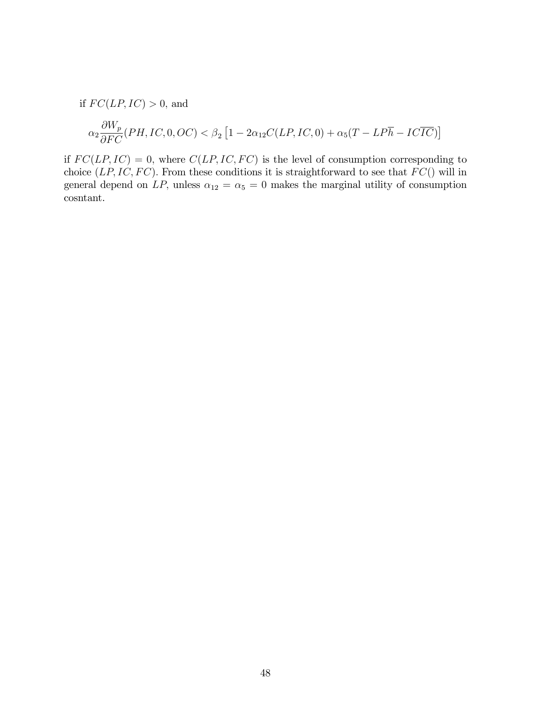if  $FC(LP, IC) > 0$ , and

$$
\alpha_2\frac{\partial W_p}{\partial FC}(PH,IC,0,OC)<\beta_2\left[1-2\alpha_{12}C(LP,IC,0)+\alpha_5(T-LP\overline{h}-IC\overline{IC})\right]
$$

if  $FC(LP, IC) = 0$ , where  $C(LP, IC, FC)$  is the level of consumption corresponding to choice  $(LP, IC, FC)$ . From these conditions it is straightforward to see that  $FC()$  will in general depend on LP, unless  $\alpha_{12} = \alpha_5 = 0$  makes the marginal utility of consumption cosntant.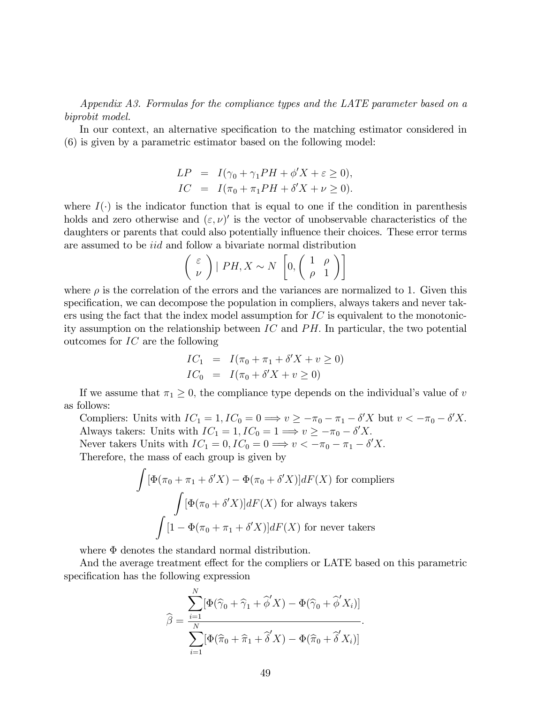Appendix A3. Formulas for the compliance types and the LATE parameter based on a biprobit model.

In our context, an alternative specification to the matching estimator considered in (6) is given by a parametric estimator based on the following model:

$$
LP = I(\gamma_0 + \gamma_1 PH + \phi' X + \varepsilon \ge 0),
$$
  
\n
$$
IC = I(\pi_0 + \pi_1 PH + \delta' X + \nu \ge 0).
$$

where  $I(\cdot)$  is the indicator function that is equal to one if the condition in parenthesis holds and zero otherwise and  $(\varepsilon, \nu)'$  is the vector of unobservable characteristics of the daughters or parents that could also potentially influence their choices. These error terms are assumed to be iid and follow a bivariate normal distribution

$$
\left(\begin{array}{c} \varepsilon \\ \nu \end{array}\right) | PH, X \sim N \left[0, \left(\begin{array}{cc} 1 & \rho \\ \rho & 1 \end{array}\right)\right]
$$

where  $\rho$  is the correlation of the errors and the variances are normalized to 1. Given this specification, we can decompose the population in compliers, always takers and never takers using the fact that the index model assumption for  $\mathcal{IC}$  is equivalent to the monotonicity assumption on the relationship between  $IC$  and  $PH$ . In particular, the two potential outcomes for IC are the following

$$
IC_1 = I(\pi_0 + \pi_1 + \delta' X + v \ge 0)
$$
  

$$
IC_0 = I(\pi_0 + \delta' X + v \ge 0)
$$

If we assume that  $\pi_1 \geq 0$ , the compliance type depends on the individual's value of v as follows:

Compliers: Units with  $IC_1 = 1$ ,  $IC_0 = 0 \Longrightarrow v \ge -\pi_0 - \pi_1 - \delta'X$  but  $v < -\pi_0 - \delta'X$ . Always takers: Units with  $IC_1 = 1, IC_0 = 1 \Longrightarrow v \ge -\pi_0 - \delta'X.$ Never takers Units with  $IC_1 = 0, IC_0 = 0 \Longrightarrow v < -\pi_0 - \pi_1 - \delta'X.$ Therefore, the mass of each group is given by

$$
\int [\Phi(\pi_0 + \pi_1 + \delta'X) - \Phi(\pi_0 + \delta'X)]dF(X)
$$
 for compilers  

$$
\int [\Phi(\pi_0 + \delta'X)]dF(X)
$$
 for always takers  

$$
\int [1 - \Phi(\pi_0 + \pi_1 + \delta'X)]dF(X)
$$
 for never takers

where  $\Phi$  denotes the standard normal distribution.

And the average treatment effect for the compliers or LATE based on this parametric specification has the following expression

$$
\widehat{\beta} = \frac{\sum_{i=1}^{N} [\Phi(\widehat{\gamma}_0 + \widehat{\gamma}_1 + \widehat{\phi}'X) - \Phi(\widehat{\gamma}_0 + \widehat{\phi}'X_i)]}{\sum_{i=1}^{N} [\Phi(\widehat{\pi}_0 + \widehat{\pi}_1 + \widehat{\delta}'X) - \Phi(\widehat{\pi}_0 + \widehat{\delta}'X_i)]}.
$$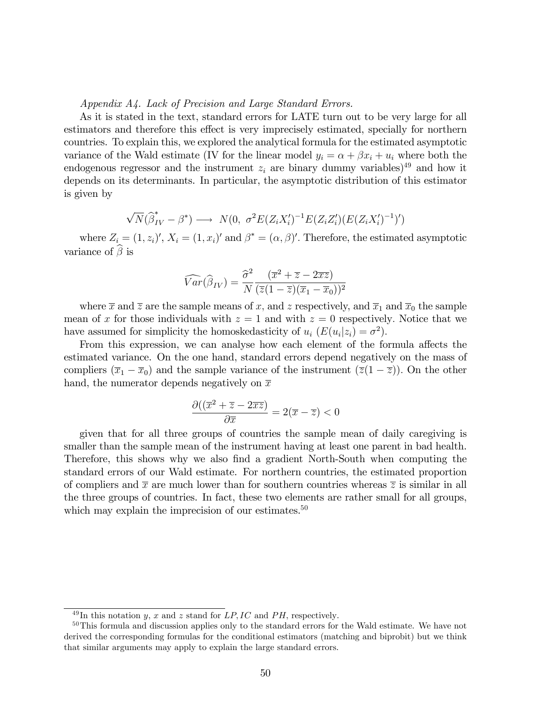Appendix A4. Lack of Precision and Large Standard Errors.

As it is stated in the text, standard errors for LATE turn out to be very large for all estimators and therefore this effect is very imprecisely estimated, specially for northern countries. To explain this, we explored the analytical formula for the estimated asymptotic variance of the Wald estimate (IV for the linear model  $y_i = \alpha + \beta x_i + u_i$  where both the endogenous regressor and the instrument  $z_i$  are binary dummy variables)<sup>49</sup> and how it depends on its determinants. In particular, the asymptotic distribution of this estimator is given by

$$
\sqrt{N}(\widehat{\beta}_{IV}^* - \beta^*) \longrightarrow N(0, \sigma^2 E(Z_i X_i')^{-1} E(Z_i Z_i') (E(Z_i X_i')^{-1})')
$$

where  $Z_i = (1, z_i)'$ ,  $X_i = (1, x_i)'$  and  $\beta^* = (\alpha, \beta)'$ . Therefore, the estimated asymptotic variance of  $\beta$  is

$$
\widehat{Var}(\widehat{\beta}_{IV}) = \frac{\widehat{\sigma}^2}{N} \frac{(\overline{x}^2 + \overline{z} - 2\overline{xz})}{(\overline{z}(1-\overline{z})(\overline{x}_1 - \overline{x}_0))^2}
$$

where  $\bar{x}$  and  $\bar{z}$  are the sample means of x, and z respectively, and  $\bar{x}_1$  and  $\bar{x}_0$  the sample mean of x for those individuals with  $z = 1$  and with  $z = 0$  respectively. Notice that we have assumed for simplicity the homoskedasticity of  $u_i$   $(E(u_i|z_i) = \sigma^2)$ .

From this expression, we can analyse how each element of the formula affects the estimated variance. On the one hand, standard errors depend negatively on the mass of compliers  $(\overline{x}_1 - \overline{x}_0)$  and the sample variance of the instrument  $(\overline{z}(1 - \overline{z}))$ . On the other hand, the numerator depends negatively on  $\bar{x}$ 

$$
\frac{\partial ((\overline{x}^2 + \overline{z} - 2\overline{x}\overline{z})}{\partial \overline{x}} = 2(\overline{x} - \overline{z}) < 0
$$

given that for all three groups of countries the sample mean of daily caregiving is smaller than the sample mean of the instrument having at least one parent in bad health. Therefore, this shows why we also Önd a gradient North-South when computing the standard errors of our Wald estimate. For northern countries, the estimated proportion of compliers and  $\bar{x}$  are much lower than for southern countries whereas  $\bar{z}$  is similar in all the three groups of countries. In fact, these two elements are rather small for all groups, which may explain the imprecision of our estimates. $50$ 

 $^{49}$ In this notation y, x and z stand for LP, IC and PH, respectively.

<sup>&</sup>lt;sup>50</sup>This formula and discussion applies only to the standard errors for the Wald estimate. We have not derived the corresponding formulas for the conditional estimators (matching and biprobit) but we think that similar arguments may apply to explain the large standard errors.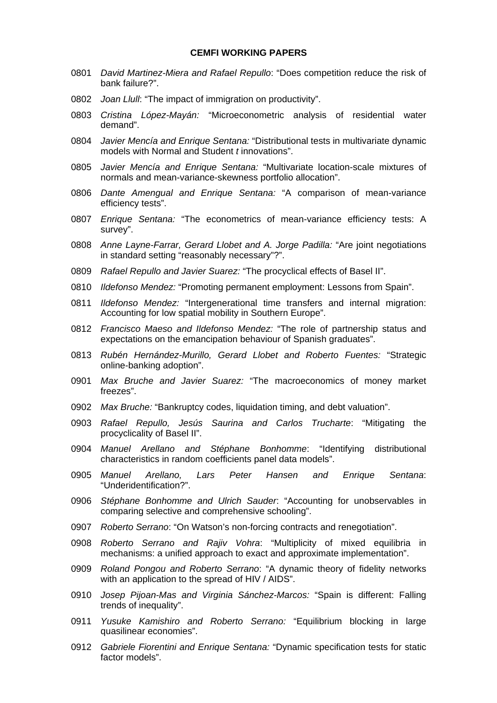#### **CEMFI WORKING PAPERS**

- 0801 *David Martinez-Miera and Rafael Repullo*: "Does competition reduce the risk of bank failure?".
- 0802 *Joan Llull*: "The impact of immigration on productivity".
- 0803 *Cristina López-Mayán:* "Microeconometric analysis of residential water demand".
- 0804 *Javier Mencía and Enrique Sentana:* "Distributional tests in multivariate dynamic models with Normal and Student *t* innovations".
- 0805 *Javier Mencía and Enrique Sentana:* "Multivariate location-scale mixtures of normals and mean-variance-skewness portfolio allocation".
- 0806 *Dante Amengual and Enrique Sentana:* "A comparison of mean-variance efficiency tests".
- 0807 *Enrique Sentana:* "The econometrics of mean-variance efficiency tests: A survey".
- 0808 *Anne Layne-Farrar, Gerard Llobet and A. Jorge Padilla:* "Are joint negotiations in standard setting "reasonably necessary"?".
- 0809 *Rafael Repullo and Javier Suarez:* "The procyclical effects of Basel II".
- 0810 *Ildefonso Mendez:* "Promoting permanent employment: Lessons from Spain".
- 0811 *Ildefonso Mendez:* "Intergenerational time transfers and internal migration: Accounting for low spatial mobility in Southern Europe".
- 0812 *Francisco Maeso and Ildefonso Mendez:* "The role of partnership status and expectations on the emancipation behaviour of Spanish graduates".
- 0813 *Rubén Hernández-Murillo, Gerard Llobet and Roberto Fuentes:* "Strategic online-banking adoption".
- 0901 *Max Bruche and Javier Suarez:* "The macroeconomics of money market freezes".
- 0902 *Max Bruche:* "Bankruptcy codes, liquidation timing, and debt valuation".
- 0903 *Rafael Repullo, Jesús Saurina and Carlos Trucharte*: "Mitigating the procyclicality of Basel II".
- 0904 *Manuel Arellano and Stéphane Bonhomme*: "Identifying distributional characteristics in random coefficients panel data models".
- 0905 *Manuel Arellano, Lars Peter Hansen and Enrique Sentana*: "Underidentification?".
- 0906 *Stéphane Bonhomme and Ulrich Sauder*: "Accounting for unobservables in comparing selective and comprehensive schooling".
- 0907 *Roberto Serrano*: "On Watson's non-forcing contracts and renegotiation".
- 0908 *Roberto Serrano and Rajiv Vohra*: "Multiplicity of mixed equilibria in mechanisms: a unified approach to exact and approximate implementation".
- 0909 *Roland Pongou and Roberto Serrano*: "A dynamic theory of fidelity networks with an application to the spread of HIV / AIDS".
- 0910 *Josep Pijoan-Mas and Virginia Sánchez-Marcos:* "Spain is different: Falling trends of inequality".
- 0911 *Yusuke Kamishiro and Roberto Serrano:* "Equilibrium blocking in large quasilinear economies".
- 0912 *Gabriele Fiorentini and Enrique Sentana:* "Dynamic specification tests for static factor models".